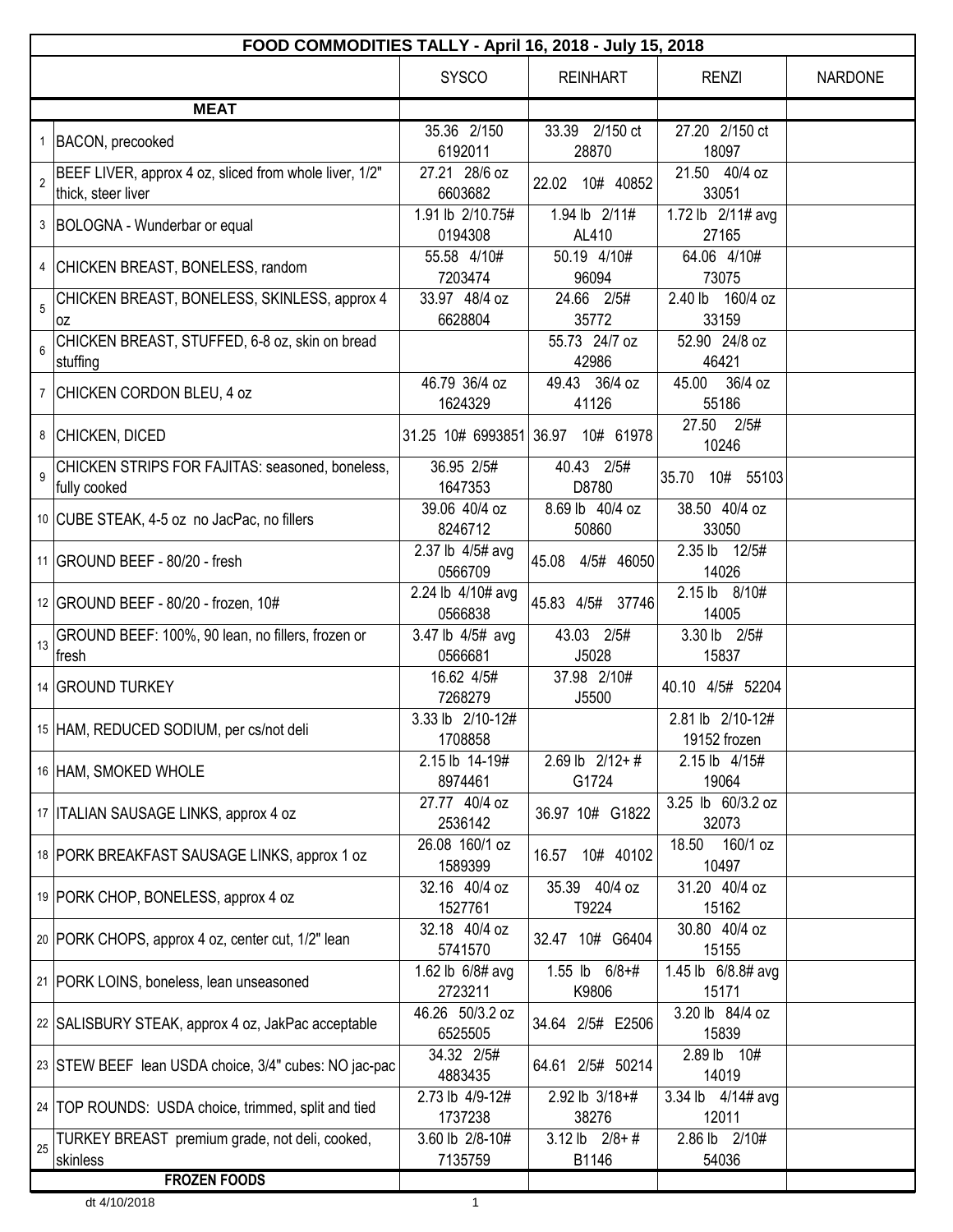|                | FOOD COMMODITIES TALLY - April 16, 2018 - July 15, 2018                      |                              |                                   |                                  |                |  |  |
|----------------|------------------------------------------------------------------------------|------------------------------|-----------------------------------|----------------------------------|----------------|--|--|
|                |                                                                              | <b>SYSCO</b>                 | <b>REINHART</b>                   | <b>RENZI</b>                     | <b>NARDONE</b> |  |  |
|                | <b>MEAT</b>                                                                  |                              |                                   |                                  |                |  |  |
|                | 1  BACON, precooked                                                          | 35.36 2/150<br>6192011       | 33.39 2/150 ct<br>28870           | 27.20 2/150 ct<br>18097          |                |  |  |
| $\overline{2}$ | BEEF LIVER, approx 4 oz, sliced from whole liver, 1/2"<br>thick, steer liver | 27.21 28/6 oz<br>6603682     | 22.02 10# 40852                   | 21.50 40/4 oz<br>33051           |                |  |  |
|                | 3  BOLOGNA - Wunderbar or equal                                              | 1.91 lb 2/10.75#<br>0194308  | 1.94 lb 2/11#<br>AL410            | 1.72 lb 2/11# avg<br>27165       |                |  |  |
|                | 4 CHICKEN BREAST, BONELESS, random                                           | 55.58 4/10#<br>7203474       | 50.19 4/10#<br>96094              | 64.06 4/10#<br>73075             |                |  |  |
| 5              | CHICKEN BREAST, BONELESS, SKINLESS, approx 4                                 | 33.97 48/4 oz<br>6628804     | 24.66 2/5#<br>35772               | 2.40 lb 160/4 oz<br>33159        |                |  |  |
| 6              | 0Z<br>CHICKEN BREAST, STUFFED, 6-8 oz, skin on bread                         |                              | 55.73 24/7 oz                     | 52.90 24/8 oz                    |                |  |  |
|                | stuffing<br>7 CHICKEN CORDON BLEU, 4 oz                                      | 46.79 36/4 oz<br>1624329     | 42986<br>49.43 36/4 oz<br>41126   | 46421<br>45.00 36/4 oz<br>55186  |                |  |  |
|                | 8 CHICKEN, DICED                                                             |                              | 31.25 10# 6993851 36.97 10# 61978 | 27.50 2/5#<br>10246              |                |  |  |
| $\mathsf{Q}$   | CHICKEN STRIPS FOR FAJITAS: seasoned, boneless,<br>fully cooked              | 36.95 2/5#<br>1647353        | 40.43 2/5#<br>D8780               | 35.70 10# 55103                  |                |  |  |
|                | 10 CUBE STEAK, 4-5 oz no JacPac, no fillers                                  | 39.06 40/4 oz<br>8246712     | 8.69 lb 40/4 oz<br>50860          | 38.50 40/4 oz<br>33050           |                |  |  |
|                | 11 GROUND BEEF - 80/20 - fresh                                               | 2.37 lb 4/5# avg<br>0566709  | 45.08 4/5# 46050                  | 2.35 lb 12/5#<br>14026           |                |  |  |
|                | 12 GROUND BEEF - 80/20 - frozen, 10#                                         | 2.24 lb 4/10# avg<br>0566838 | 45.83 4/5# 37746                  | 2.15 lb 8/10#<br>14005           |                |  |  |
| 13             | GROUND BEEF: 100%, 90 lean, no fillers, frozen or<br>∣fresh                  | 3.47 lb 4/5# avg<br>0566681  | 43.03 2/5#<br>J5028               | 3.30 lb 2/5#<br>15837            |                |  |  |
|                | 14 GROUND TURKEY                                                             | 16.62 4/5#<br>7268279        | 37.98 2/10#<br>J5500              | 40.10 4/5# 52204                 |                |  |  |
|                | 15 HAM, REDUCED SODIUM, per cs/not deli                                      | 3.33 lb 2/10-12#<br>1708858  |                                   | 2.81 lb 2/10-12#<br>19152 frozen |                |  |  |
|                | 16 HAM, SMOKED WHOLE                                                         | 2.15 lb 14-19#<br>8974461    | $2.69$ lb $2/12+#$<br>G1724       | 2.15 lb 4/15#<br>19064           |                |  |  |
|                | 17   ITALIAN SAUSAGE LINKS, approx 4 oz                                      | 27.77 40/4 oz<br>2536142     | 36.97 10# G1822                   | 3.25 lb 60/3.2 oz<br>32073       |                |  |  |
|                | 18 PORK BREAKFAST SAUSAGE LINKS, approx 1 oz                                 | 26.08 160/1 oz<br>1589399    | 16.57 10# 40102                   | 18.50<br>160/1 oz<br>10497       |                |  |  |
|                | 19   PORK CHOP, BONELESS, approx 4 oz                                        | 32.16 40/4 oz<br>1527761     | 35.39 40/4 oz<br>T9224            | 31.20 40/4 oz<br>15162           |                |  |  |
|                | 20 PORK CHOPS, approx 4 oz, center cut, 1/2" lean                            | 32.18 40/4 oz<br>5741570     | 32.47 10# G6404                   | 30.80 40/4 oz<br>15155           |                |  |  |
|                | 21   PORK LOINS, boneless, lean unseasoned                                   | 1.62 lb 6/8# avg<br>2723211  | 1.55 lb 6/8+#<br>K9806            | 1.45 lb 6/8.8# avg<br>15171      |                |  |  |
|                | 22 SALISBURY STEAK, approx 4 oz, JakPac acceptable                           | 46.26 50/3.2 oz<br>6525505   | 34.64 2/5# E2506                  | 3.20 lb 84/4 oz<br>15839         |                |  |  |
|                | 23 STEW BEEF lean USDA choice, 3/4" cubes: NO jac-pac                        | 34.32 2/5#<br>4883435        | 64.61 2/5# 50214                  | 2.89 lb 10#<br>14019             |                |  |  |
|                | 24   TOP ROUNDS: USDA choice, trimmed, split and tied                        | 2.73 lb 4/9-12#<br>1737238   | 2.92 lb 3/18+#<br>38276           | 3.34 lb 4/14# avg<br>12011       |                |  |  |
| 25             | TURKEY BREAST premium grade, not deli, cooked,<br>skinless                   | 3.60 lb 2/8-10#<br>7135759   | $3.12$ lb $2/8 + #$<br>B1146      | 2.86 lb 2/10#<br>54036           |                |  |  |
|                | <b>FROZEN FOODS</b>                                                          |                              |                                   |                                  |                |  |  |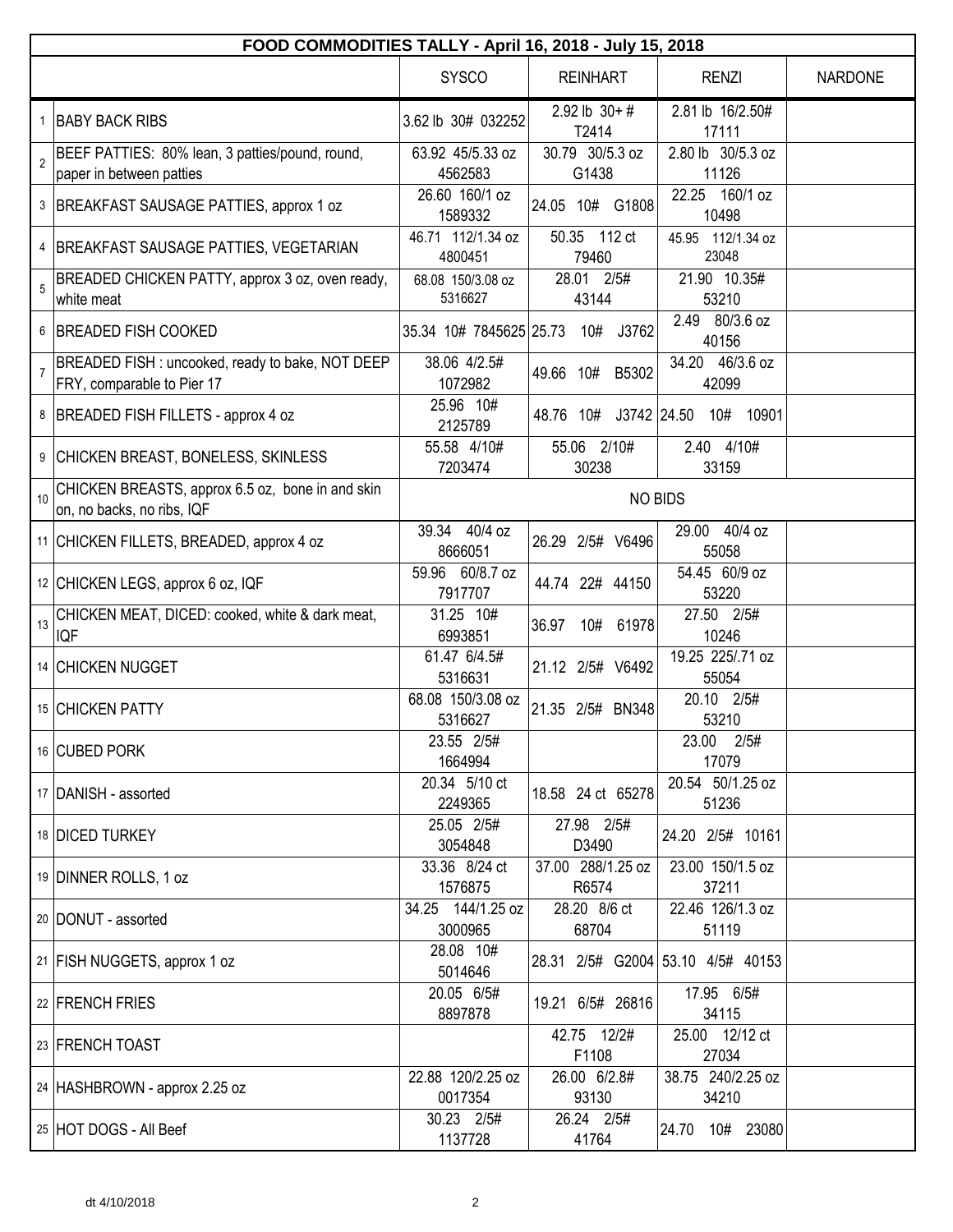|                | FOOD COMMODITIES TALLY - April 16, 2018 - July 15, 2018                        |                              |                            |                                   |                |  |
|----------------|--------------------------------------------------------------------------------|------------------------------|----------------------------|-----------------------------------|----------------|--|
|                |                                                                                | <b>SYSCO</b>                 | <b>REINHART</b>            | <b>RENZI</b>                      | <b>NARDONE</b> |  |
|                | 1 BABY BACK RIBS                                                               | 3.62 lb 30# 032252           | $2.92$ lb $30+#$<br>T2414  | 2.81 lb 16/2.50#<br>17111         |                |  |
| $\overline{2}$ | BEEF PATTIES: 80% lean, 3 patties/pound, round,<br>paper in between patties    | 63.92 45/5.33 oz<br>4562583  | 30.79 30/5.3 oz<br>G1438   | 2.80 lb 30/5.3 oz<br>11126        |                |  |
|                | 3  BREAKFAST SAUSAGE PATTIES, approx 1 oz                                      | 26.60 160/1 oz<br>1589332    | 24.05 10# G1808            | 22.25 160/1 oz<br>10498           |                |  |
|                | 4 BREAKFAST SAUSAGE PATTIES, VEGETARIAN                                        | 46.71 112/1.34 oz<br>4800451 | 50.35 112 ct<br>79460      | 45.95 112/1.34 oz<br>23048        |                |  |
| 5              | BREADED CHICKEN PATTY, approx 3 oz, oven ready,<br>white meat                  | 68.08 150/3.08 oz<br>5316627 | 28.01 2/5#<br>43144        | 21.90 10.35#<br>53210             |                |  |
|                | 6 BREADED FISH COOKED                                                          | 35.34 10# 7845625 25.73      | 10# J3762                  | 2.49 80/3.6 oz<br>40156           |                |  |
| $\overline{7}$ | BREADED FISH : uncooked, ready to bake, NOT DEEP<br>FRY, comparable to Pier 17 | 38.06 4/2.5#<br>1072982      | 49.66 10#<br>B5302         | 34.20 46/3.6 oz<br>42099          |                |  |
|                | 8   BREADED FISH FILLETS - approx 4 oz                                         | 25.96 10#<br>2125789         | 48.76 10# J3742 24.50      | 10901<br>10#                      |                |  |
|                | 9 CHICKEN BREAST, BONELESS, SKINLESS                                           | 55.58 4/10#<br>7203474       | 55.06 2/10#<br>30238       | 2.40 4/10#<br>33159               |                |  |
| 10             | CHICKEN BREASTS, approx 6.5 oz, bone in and skin<br>on, no backs, no ribs, IQF |                              |                            | <b>NO BIDS</b>                    |                |  |
|                | 11 CHICKEN FILLETS, BREADED, approx 4 oz                                       | 39.34 40/4 oz<br>8666051     | 26.29 2/5# V6496           | 29.00 40/4 oz<br>55058            |                |  |
|                | 12 CHICKEN LEGS, approx 6 oz, IQF                                              | 59.96 60/8.7 oz<br>7917707   | 44.74 22# 44150            | 54.45 60/9 oz<br>53220            |                |  |
| 13             | CHICKEN MEAT, DICED: cooked, white & dark meat,<br><b>IQF</b>                  | 31.25 10#<br>6993851         | 36.97<br>10#<br>61978      | 27.50 2/5#<br>10246               |                |  |
|                | 14 CHICKEN NUGGET                                                              | 61.47 6/4.5#<br>5316631      | 21.12 2/5# V6492           | 19.25 225/.71 oz<br>55054         |                |  |
|                | 15 CHICKEN PATTY                                                               | 68.08 150/3.08 oz<br>5316627 | 21.35 2/5# BN348           | 20.10 2/5#<br>53210               |                |  |
|                | 16 CUBED PORK                                                                  | 23.55 2/5#<br>1664994        |                            | 23.00 2/5#<br>17079               |                |  |
|                | 17 DANISH - assorted                                                           | 20.34 5/10 ct<br>2249365     | 18.58 24 ct 65278          | 20.54 50/1.25 oz<br>51236         |                |  |
|                | 18 DICED TURKEY                                                                | 25.05 2/5#<br>3054848        | 27.98 2/5#<br>D3490        | 24.20 2/5# 10161                  |                |  |
|                | 19 DINNER ROLLS, 1 oz                                                          | 33.36 8/24 ct<br>1576875     | 37.00 288/1.25 oz<br>R6574 | 23.00 150/1.5 oz<br>37211         |                |  |
|                | 20 DONUT - assorted                                                            | 34.25 144/1.25 oz<br>3000965 | 28.20 8/6 ct<br>68704      | 22.46 126/1.3 oz<br>51119         |                |  |
|                | 21 FISH NUGGETS, approx 1 oz                                                   | 28.08 10#<br>5014646         |                            | 28.31 2/5# G2004 53.10 4/5# 40153 |                |  |
|                | 22 FRENCH FRIES                                                                | 20.05 6/5#<br>8897878        | 19.21 6/5# 26816           | 17.95 6/5#<br>34115               |                |  |
|                | 23 FRENCH TOAST                                                                |                              | 42.75 12/2#<br>F1108       | 25.00 12/12 ct<br>27034           |                |  |
|                | 24 HASHBROWN - approx 2.25 oz                                                  | 22.88 120/2.25 oz<br>0017354 | 26.00 6/2.8#<br>93130      | 38.75 240/2.25 oz<br>34210        |                |  |
|                | 25 HOT DOGS - All Beef                                                         | 30.23 2/5#<br>1137728        | 26.24 2/5#<br>41764        | 24.70 10# 23080                   |                |  |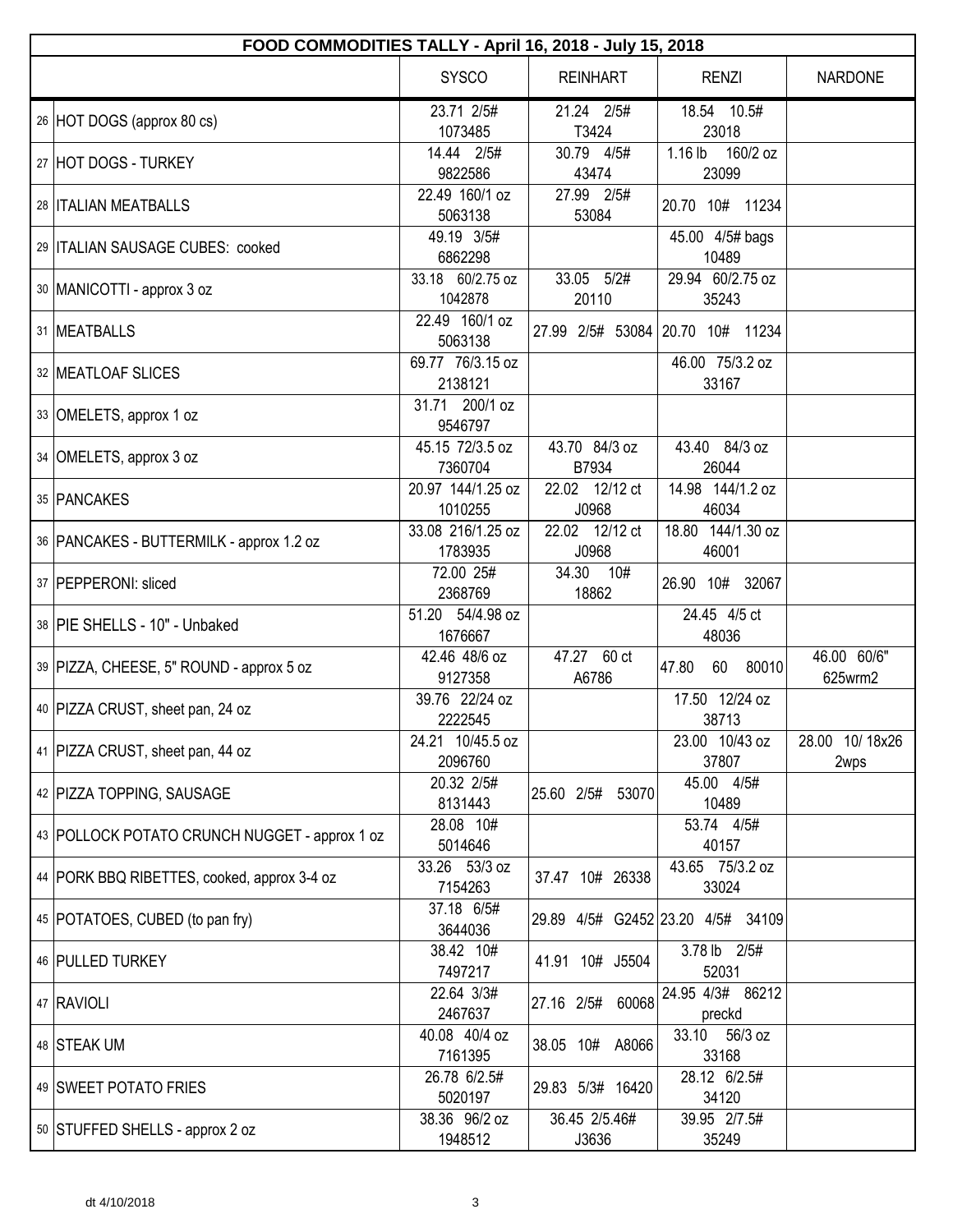| FOOD COMMODITIES TALLY - April 16, 2018 - July 15, 2018 |                              |                         |                                   |                        |  |  |
|---------------------------------------------------------|------------------------------|-------------------------|-----------------------------------|------------------------|--|--|
|                                                         | <b>SYSCO</b>                 | <b>REINHART</b>         | <b>RENZI</b>                      | NARDONE                |  |  |
| 26 HOT DOGS (approx 80 cs)                              | 23.71 2/5#<br>1073485        | 21.24 2/5#<br>T3424     | 18.54 10.5#<br>23018              |                        |  |  |
| 27 HOT DOGS - TURKEY                                    | 14.44 2/5#<br>9822586        | 30.79 4/5#<br>43474     | $1.16$ lb<br>160/2 oz<br>23099    |                        |  |  |
| 28   ITALIAN MEATBALLS                                  | 22.49 160/1 oz<br>5063138    | 27.99 2/5#<br>53084     | 20.70 10# 11234                   |                        |  |  |
| 29 ITALIAN SAUSAGE CUBES: cooked                        | 49.19 3/5#<br>6862298        |                         | 45.00 4/5# bags<br>10489          |                        |  |  |
| 30   MANICOTTI - approx 3 oz                            | 33.18 60/2.75 oz<br>1042878  | 33.05 5/2#<br>20110     | 29.94 60/2.75 oz<br>35243         |                        |  |  |
| 31   MEATBALLS                                          | 22.49 160/1 oz<br>5063138    | 27.99 2/5# 53084        | 20.70 10# 11234                   |                        |  |  |
| 32 MEATLOAF SLICES                                      | 69.77 76/3.15 oz<br>2138121  |                         | 46.00 75/3.2 oz<br>33167          |                        |  |  |
| 33 OMELETS, approx 1 oz                                 | 31.71 200/1 oz<br>9546797    |                         |                                   |                        |  |  |
| 34 OMELETS, approx 3 oz                                 | 45.15 72/3.5 oz<br>7360704   | 43.70 84/3 oz<br>B7934  | 43.40 84/3 oz<br>26044            |                        |  |  |
| 35 PANCAKES                                             | 20.97 144/1.25 oz<br>1010255 | 22.02 12/12 ct<br>J0968 | 14.98 144/1.2 oz<br>46034         |                        |  |  |
| 36   PANCAKES - BUTTERMILK - approx 1.2 oz              | 33.08 216/1.25 oz<br>1783935 | 22.02 12/12 ct<br>J0968 | 18.80 144/1.30 oz<br>46001        |                        |  |  |
| 37   PEPPERONI: sliced                                  | 72.00 25#<br>2368769         | 34.30 10#<br>18862      | 26.90 10# 32067                   |                        |  |  |
| 38 PIE SHELLS - 10" - Unbaked                           | 51.20 54/4.98 oz<br>1676667  |                         | 24.45 4/5 ct<br>48036             |                        |  |  |
| 39   PIZZA, CHEESE, 5" ROUND - approx 5 oz              | 42.46 48/6 oz<br>9127358     | 47.27 60 ct<br>A6786    | 47.80<br>60<br>80010              | 46.00 60/6"<br>625wrm2 |  |  |
| 40 PIZZA CRUST, sheet pan, 24 oz                        | 39.76 22/24 oz<br>2222545    |                         | 17.50 12/24 oz<br>38713           |                        |  |  |
| 41   PIZZA CRUST, sheet pan, 44 oz                      | 24.21 10/45.5 oz<br>2096760  |                         | 23.00 10/43 oz<br>37807           | 28.00 10/18x26<br>2wps |  |  |
| 42   PIZZA TOPPING, SAUSAGE                             | 20.32 2/5#<br>8131443        | 25.60 2/5# 53070        | 45.00 4/5#<br>10489               |                        |  |  |
| 43 POLLOCK POTATO CRUNCH NUGGET - approx 1 oz           | 28.08 10#<br>5014646         |                         | 53.74 4/5#<br>40157               |                        |  |  |
| 44   PORK BBQ RIBETTES, cooked, approx 3-4 oz           | 33.26 53/3 oz<br>7154263     | 37.47 10# 26338         | 43.65 75/3.2 oz<br>33024          |                        |  |  |
| 45 POTATOES, CUBED (to pan fry)                         | 37.18 6/5#<br>3644036        |                         | 29.89 4/5# G2452 23.20 4/5# 34109 |                        |  |  |
| 46   PULLED TURKEY                                      | 38.42 10#<br>7497217         | 41.91 10# J5504         | 3.78 lb 2/5#<br>52031             |                        |  |  |
| 47 RAVIOLI                                              | 22.64 3/3#<br>2467637        | 60068<br>27.16 2/5#     | 24.95 4/3# 86212<br>preckd        |                        |  |  |
| 48 STEAK UM                                             | 40.08 40/4 oz<br>7161395     | 38.05 10# A8066         | 33.10<br>56/3 oz<br>33168         |                        |  |  |
| 49 SWEET POTATO FRIES                                   | 26.78 6/2.5#<br>5020197      | 29.83 5/3# 16420        | 28.12 6/2.5#<br>34120             |                        |  |  |
| 50 STUFFED SHELLS - approx 2 oz                         | 38.36 96/2 oz<br>1948512     | 36.45 2/5.46#<br>J3636  | 39.95 2/7.5#<br>35249             |                        |  |  |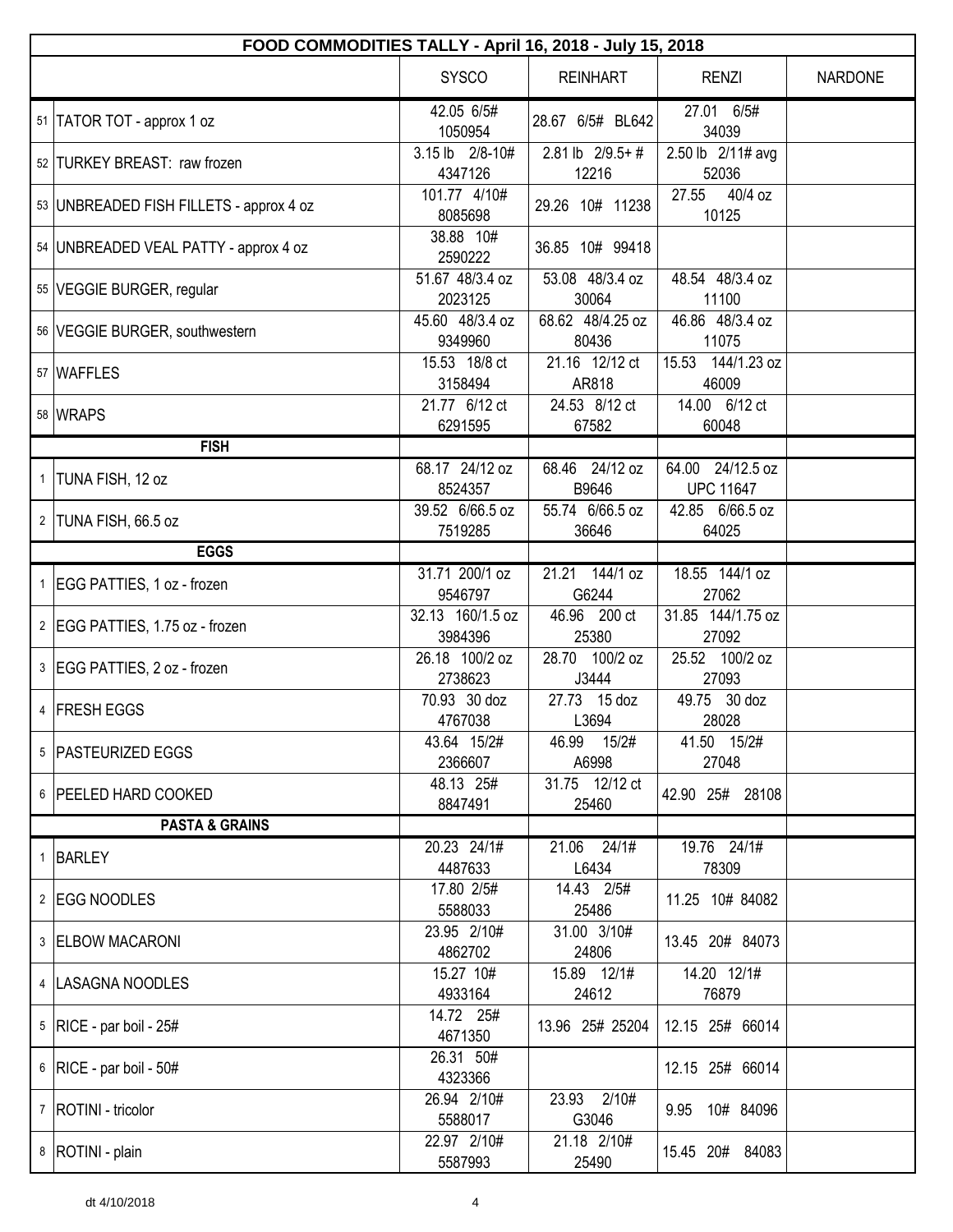| FOOD COMMODITIES TALLY - April 16, 2018 - July 15, 2018 |                             |                               |                                      |                |  |  |
|---------------------------------------------------------|-----------------------------|-------------------------------|--------------------------------------|----------------|--|--|
|                                                         | <b>SYSCO</b>                | <b>REINHART</b>               | <b>RENZI</b>                         | <b>NARDONE</b> |  |  |
| 51 TATOR TOT - approx 1 oz                              | 42.05 6/5#<br>1050954       | 28.67 6/5# BL642              | 27.01 6/5#<br>34039                  |                |  |  |
| 52 TURKEY BREAST: raw frozen                            | 3.15 lb 2/8-10#<br>4347126  | $2.81$ lb $2/9.5+$ #<br>12216 | 2.50 lb 2/11# avg<br>52036           |                |  |  |
| 53   UNBREADED FISH FILLETS - approx 4 oz               | 101.77 4/10#<br>8085698     | 29.26 10# 11238               | 40/4 oz<br>27.55<br>10125            |                |  |  |
| 54   UNBREADED VEAL PATTY - approx 4 oz                 | 38.88 10#<br>2590222        | 36.85 10# 99418               |                                      |                |  |  |
| 55   VEGGIE BURGER, regular                             | 51.67 48/3.4 oz<br>2023125  | 53.08 48/3.4 oz<br>30064      | 48.54 48/3.4 oz<br>11100             |                |  |  |
| 56 VEGGIE BURGER, southwestern                          | 45.60 48/3.4 oz<br>9349960  | 68.62 48/4.25 oz<br>80436     | 46.86 48/3.4 oz<br>11075             |                |  |  |
| 57   WAFFLES                                            | 15.53 18/8 ct<br>3158494    | 21.16 12/12 ct<br>AR818       | 15.53 144/1.23 oz<br>46009           |                |  |  |
| 58 WRAPS                                                | 21.77 6/12 ct<br>6291595    | 24.53 8/12 ct<br>67582        | 14.00 6/12 ct<br>60048               |                |  |  |
| <b>FISH</b>                                             |                             |                               |                                      |                |  |  |
| 1  TUNA FISH, 12 oz                                     | 68.17 24/12 oz<br>8524357   | 68.46 24/12 oz<br>B9646       | 64.00 24/12.5 oz<br><b>UPC 11647</b> |                |  |  |
| 2 TUNA FISH, 66.5 oz                                    | 39.52 6/66.5 oz<br>7519285  | 55.74 6/66.5 oz<br>36646      | 42.85 6/66.5 oz<br>64025             |                |  |  |
| <b>EGGS</b>                                             |                             |                               |                                      |                |  |  |
| 1 EGG PATTIES, 1 oz - frozen                            | 31.71 200/1 oz<br>9546797   | 21.21 144/1 oz<br>G6244       | 18.55 144/1 oz<br>27062              |                |  |  |
| 2   EGG PATTIES, 1.75 oz - frozen                       | 32.13 160/1.5 oz<br>3984396 | 46.96 200 ct<br>25380         | 31.85 144/1.75 oz<br>27092           |                |  |  |
| 3 EGG PATTIES, 2 oz - frozen                            | 26.18 100/2 oz<br>2738623   | 28.70 100/2 oz<br>J3444       | 25.52 100/2 oz<br>27093              |                |  |  |
| 4 FRESH EGGS                                            | 70.93 30 doz<br>4767038     | 27.73 15 doz<br>L3694         | 49.75 30 doz<br>28028                |                |  |  |
| 5   PASTEURIZED EGGS                                    | 43.64 15/2#<br>2366607      | 46.99 15/2#<br>A6998          | 41.50 15/2#<br>27048                 |                |  |  |
| 6 PEELED HARD COOKED                                    | 48.13 25#<br>8847491        | 31.75 12/12 ct<br>25460       | 42.90 25# 28108                      |                |  |  |
| <b>PASTA &amp; GRAINS</b>                               |                             |                               |                                      |                |  |  |
| 1 BARLEY                                                | 20.23 24/1#<br>4487633      | 21.06 24/1#<br>L6434          | 19.76 24/1#<br>78309                 |                |  |  |
| 2 EGG NOODLES                                           | 17.80 2/5#<br>5588033       | 14.43 2/5#<br>25486           | 11.25 10# 84082                      |                |  |  |
| 3 ELBOW MACARONI                                        | 23.95 2/10#<br>4862702      | 31.00 3/10#<br>24806          | 13.45 20# 84073                      |                |  |  |
| 4  LASAGNA NOODLES                                      | 15.27 10#<br>4933164        | 15.89 12/1#<br>24612          | 14.20 12/1#<br>76879                 |                |  |  |
| $5$ RICE - par boil - 25#                               | 14.72 25#<br>4671350        | 13.96 25# 25204               | 12.15 25# 66014                      |                |  |  |
| $6$ RICE - par boil - 50#                               | 26.31 50#<br>4323366        |                               | 12.15 25# 66014                      |                |  |  |
| 7   ROTINI - tricolor                                   | 26.94 2/10#<br>5588017      | 23.93 2/10#<br>G3046          | 9.95 10# 84096                       |                |  |  |
| 8   ROTINI - plain                                      | 22.97 2/10#<br>5587993      | 21.18 2/10#<br>25490          | 15.45 20# 84083                      |                |  |  |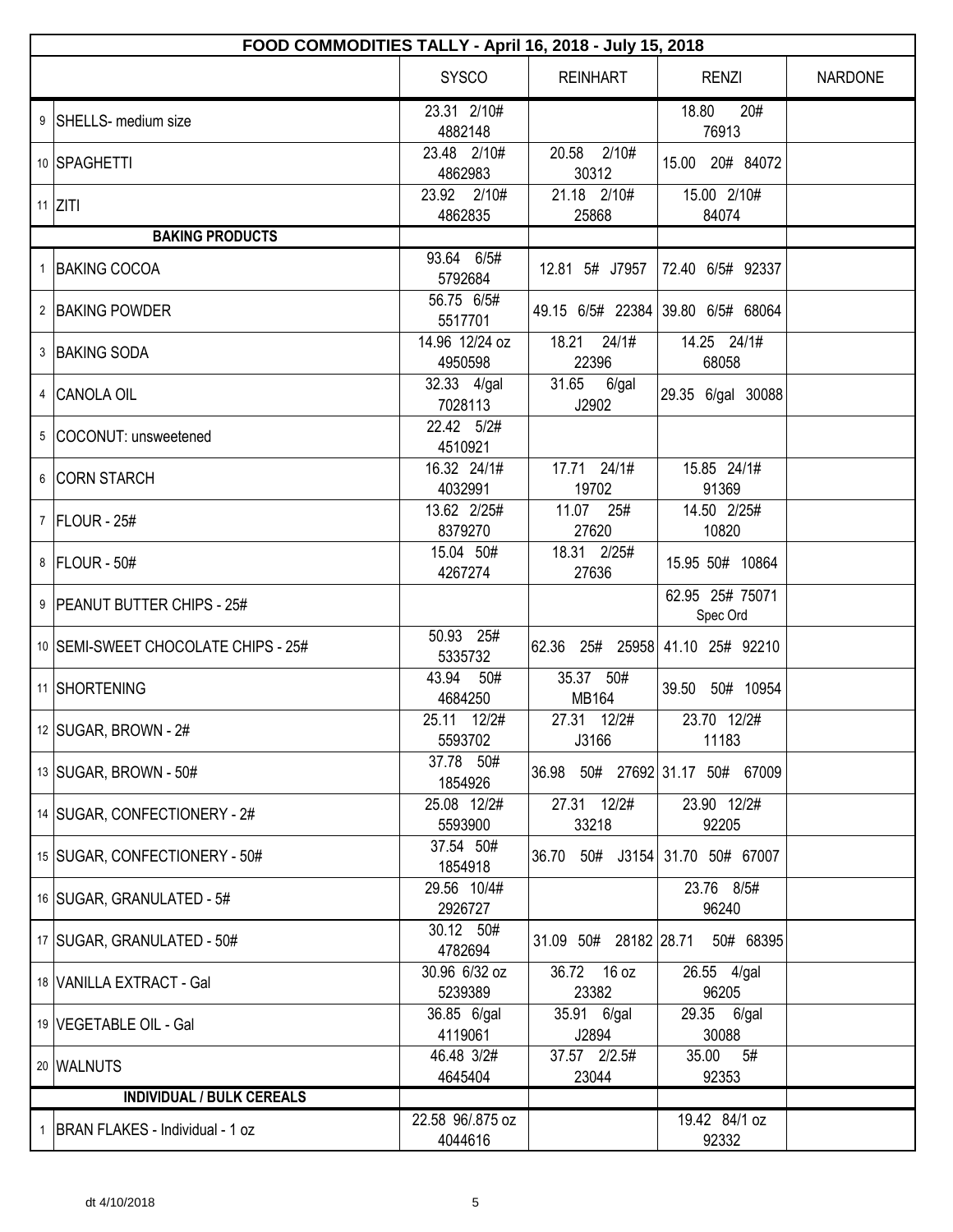| FOOD COMMODITIES TALLY - April 16, 2018 - July 15, 2018 |                             |                       |                                   |                |  |  |
|---------------------------------------------------------|-----------------------------|-----------------------|-----------------------------------|----------------|--|--|
|                                                         | <b>SYSCO</b>                | <b>REINHART</b>       | <b>RENZI</b>                      | <b>NARDONE</b> |  |  |
| 9 SHELLS- medium size                                   | 23.31 2/10#<br>4882148      |                       | 18.80<br>20#<br>76913             |                |  |  |
| 10 SPAGHETTI                                            | 23.48 2/10#<br>4862983      | 20.58 2/10#<br>30312  | 15.00 20# 84072                   |                |  |  |
| 11 $ZITI$                                               | 23.92 2/10#<br>4862835      | 21.18 2/10#<br>25868  | 15.00 2/10#<br>84074              |                |  |  |
| <b>BAKING PRODUCTS</b>                                  |                             |                       |                                   |                |  |  |
| 1 BAKING COCOA                                          | 93.64 6/5#<br>5792684       | 12.81 5# J7957        | 72.40 6/5# 92337                  |                |  |  |
| 2 BAKING POWDER                                         | 56.75 6/5#<br>5517701       |                       | 49.15 6/5# 22384 39.80 6/5# 68064 |                |  |  |
| 3 BAKING SODA                                           | 14.96 12/24 oz<br>4950598   | 18.21 24/1#<br>22396  | 14.25 24/1#<br>68058              |                |  |  |
| 4 CANOLA OIL                                            | 32.33 4/gal<br>7028113      | 31.65 6/gal<br>J2902  | 29.35 6/gal 30088                 |                |  |  |
| 5 COCONUT: unsweetened                                  | 22.42 5/2#<br>4510921       |                       |                                   |                |  |  |
| 6 CORN STARCH                                           | 16.32 24/1#<br>4032991      | 17.71 24/1#<br>19702  | 15.85 24/1#<br>91369              |                |  |  |
| 7   FLOUR - 25#                                         | 13.62 2/25#<br>8379270      | 11.07 25#<br>27620    | 14.50 2/25#<br>10820              |                |  |  |
| 8   FLOUR - 50#                                         | 15.04 50#<br>4267274        | 18.31 2/25#<br>27636  | 15.95 50# 10864                   |                |  |  |
| 9   PEANUT BUTTER CHIPS - 25#                           |                             |                       | 62.95 25# 75071<br>Spec Ord       |                |  |  |
| 10 SEMI-SWEET CHOCOLATE CHIPS - 25#                     | 50.93 25#<br>5335732        |                       | 62.36 25# 25958 41.10 25# 92210   |                |  |  |
| 11 SHORTENING                                           | 43.94<br>50#<br>4684250     | 35.37 50#<br>MB164    | 39.50 50# 10954                   |                |  |  |
| 12 SUGAR, BROWN - $2#$                                  | 25.11 12/2#<br>5593702      | 27.31 12/2#<br>J3166  | 23.70 12/2#<br>11183              |                |  |  |
| 13 SUGAR, BROWN - 50#                                   | 37.78 50#<br>1854926        |                       | 36.98 50# 27692 31.17 50# 67009   |                |  |  |
| 14   SUGAR, CONFECTIONERY - 2#                          | 25.08 12/2#<br>5593900      | 27.31 12/2#<br>33218  | 23.90 12/2#<br>92205              |                |  |  |
| 15 SUGAR, CONFECTIONERY - 50#                           | 37.54 50#<br>1854918        |                       | 36.70 50# J3154 31.70 50# 67007   |                |  |  |
| 16   SUGAR, GRANULATED - 5#                             | 29.56 10/4#<br>2926727      |                       | 23.76 8/5#<br>96240               |                |  |  |
| 17   SUGAR, GRANULATED - 50#                            | 30.12 50#<br>4782694        | 31.09 50# 28182 28.71 | 50# 68395                         |                |  |  |
| 18 VANILLA EXTRACT - Gal                                | 30.96 6/32 oz<br>5239389    | 36.72 16 oz<br>23382  | 26.55 4/gal<br>96205              |                |  |  |
| 19 VEGETABLE OIL - Gal                                  | 36.85 6/gal<br>4119061      | 35.91 6/gal<br>J2894  | 29.35 6/gal<br>30088              |                |  |  |
| 20 WALNUTS                                              | 46.48 3/2#<br>4645404       | 37.57 2/2.5#<br>23044 | 35.00<br>5#<br>92353              |                |  |  |
| <b>INDIVIDUAL / BULK CEREALS</b>                        |                             |                       |                                   |                |  |  |
| 1   BRAN FLAKES - Individual - 1 oz                     | 22.58 96/.875 oz<br>4044616 |                       | 19.42 84/1 oz<br>92332            |                |  |  |
|                                                         |                             |                       |                                   |                |  |  |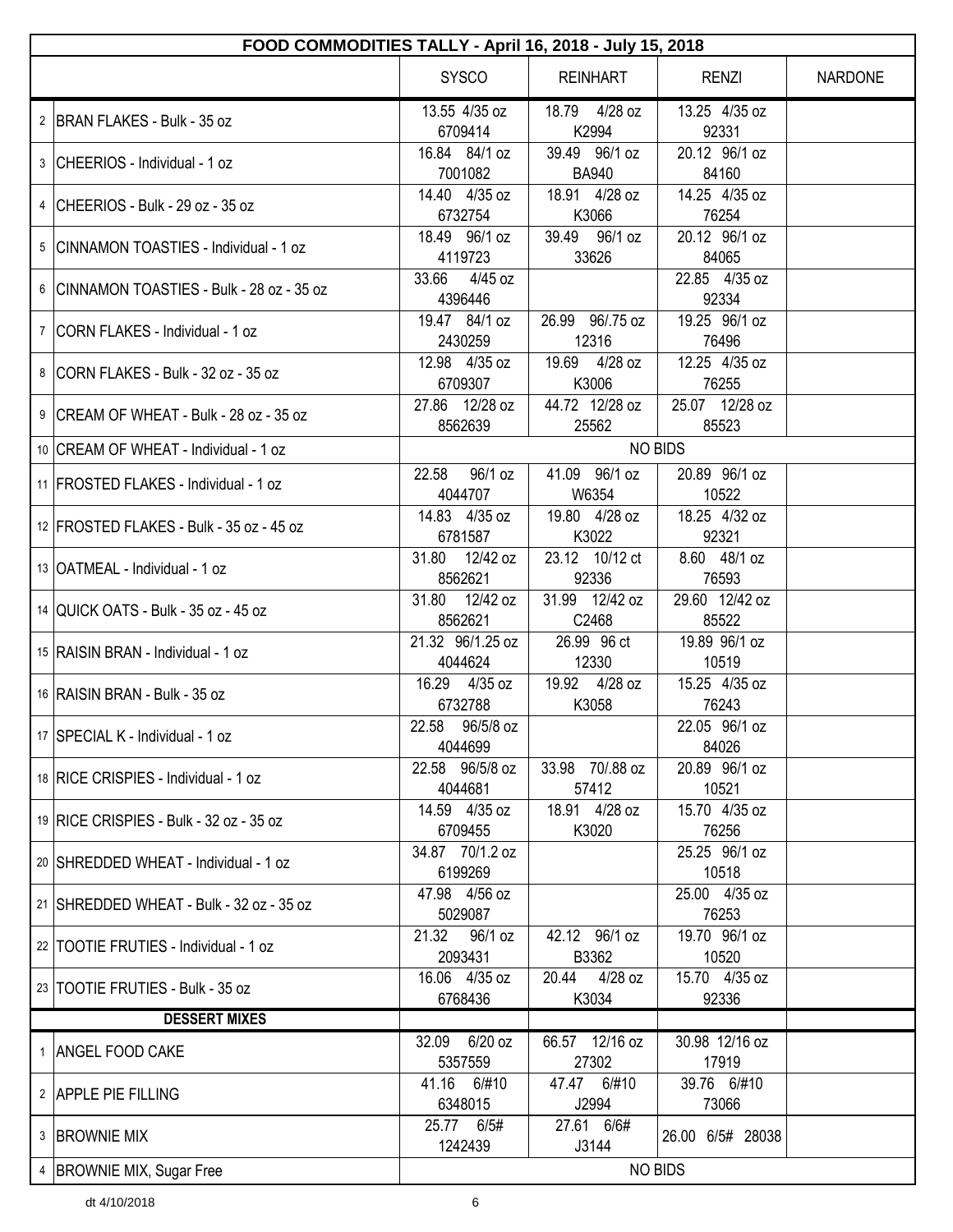| FOOD COMMODITIES TALLY - April 16, 2018 - July 15, 2018 |                             |                               |                         |         |  |
|---------------------------------------------------------|-----------------------------|-------------------------------|-------------------------|---------|--|
|                                                         | <b>SYSCO</b>                | <b>REINHART</b>               | <b>RENZI</b>            | NARDONE |  |
| 2 BRAN FLAKES - Bulk - 35 oz                            | 13.55 4/35 oz<br>6709414    | 18.79 4/28 oz<br>K2994        | 13.25 4/35 oz<br>92331  |         |  |
| 3 CHEERIOS - Individual - 1 oz                          | 16.84 84/1 oz<br>7001082    | 39.49 96/1 oz<br><b>BA940</b> | 20.12 96/1 oz<br>84160  |         |  |
| 4 CHEERIOS - Bulk - 29 oz - 35 oz                       | 14.40 4/35 oz<br>6732754    | 18.91 4/28 oz<br>K3066        | 14.25 4/35 oz<br>76254  |         |  |
| 5 CINNAMON TOASTIES - Individual - 1 oz                 | 18.49 96/1 oz<br>4119723    | 39.49 96/1 oz<br>33626        | 20.12 96/1 oz<br>84065  |         |  |
| 6 CINNAMON TOASTIES - Bulk - 28 oz - 35 oz              | 33.66 4/45 oz<br>4396446    |                               | 22.85 4/35 oz<br>92334  |         |  |
| 7   CORN FLAKES - Individual - 1 oz                     | 19.47 84/1 oz<br>2430259    | 26.99 96/.75 oz<br>12316      | 19.25 96/1 oz<br>76496  |         |  |
| 8 CORN FLAKES - Bulk - 32 oz - 35 oz                    | 12.98 4/35 oz<br>6709307    | 19.69 4/28 oz<br>K3006        | 12.25 4/35 oz<br>76255  |         |  |
| 9 CREAM OF WHEAT - Bulk - 28 oz - 35 oz                 | 27.86 12/28 oz<br>8562639   | 44.72 12/28 oz<br>25562       | 25.07 12/28 oz<br>85523 |         |  |
| 10 CREAM OF WHEAT - Individual - 1 oz                   |                             |                               | <b>NO BIDS</b>          |         |  |
| 11 FROSTED FLAKES - Individual - 1 oz                   | 96/1 oz<br>22.58<br>4044707 | 41.09 96/1 oz<br>W6354        | 20.89 96/1 oz<br>10522  |         |  |
| 12 FROSTED FLAKES - Bulk - 35 oz - 45 oz                | 14.83 4/35 oz<br>6781587    | 19.80 4/28 oz<br>K3022        | 18.25 4/32 oz<br>92321  |         |  |
| 13   OATMEAL - Individual - 1 oz                        | 31.80 12/42 oz<br>8562621   | 23.12 10/12 ct<br>92336       | 8.60 48/1 oz<br>76593   |         |  |
| 14 QUICK OATS - Bulk - 35 oz - 45 oz                    | 31.80 12/42 oz<br>8562621   | 31.99 12/42 oz<br>C2468       | 29.60 12/42 oz<br>85522 |         |  |
| 15 RAISIN BRAN - Individual - 1 oz                      | 21.32 96/1.25 oz<br>4044624 | 26.99 96 ct<br>12330          | 19.89 96/1 oz<br>10519  |         |  |
| 16 RAISIN BRAN - Bulk - 35 oz                           | 16.29 4/35 oz<br>6732788    | 19.92 4/28 oz<br>K3058        | 15.25 4/35 oz<br>76243  |         |  |
| 17 SPECIAL K - Individual - 1 oz                        | 22.58 96/5/8 oz<br>4044699  |                               | 22.05 96/1 oz<br>84026  |         |  |
| 18 RICE CRISPIES - Individual - 1 oz                    | 22.58 96/5/8 oz<br>4044681  | 33.98 70/.88 oz<br>57412      | 20.89 96/1 oz<br>10521  |         |  |
| 19 RICE CRISPIES - Bulk - 32 oz - 35 oz                 | 14.59 4/35 oz<br>6709455    | 18.91 4/28 oz<br>K3020        | 15.70 4/35 oz<br>76256  |         |  |
| 20 SHREDDED WHEAT - Individual - 1 oz                   | 34.87 70/1.2 oz<br>6199269  |                               | 25.25 96/1 oz<br>10518  |         |  |
| 21 SHREDDED WHEAT - Bulk - 32 oz - 35 oz                | 47.98 4/56 oz<br>5029087    |                               | 25.00 4/35 oz<br>76253  |         |  |
| 22 TOOTIE FRUTIES - Individual - 1 oz                   | 21.32 96/1 oz<br>2093431    | 42.12 96/1 oz<br>B3362        | 19.70 96/1 oz<br>10520  |         |  |
| 23 TOOTIE FRUTIES - Bulk - 35 oz                        | 16.06 4/35 oz<br>6768436    | 20.44 4/28 oz<br>K3034        | 15.70 4/35 oz<br>92336  |         |  |
| <b>DESSERT MIXES</b>                                    |                             |                               |                         |         |  |
| 1 ANGEL FOOD CAKE                                       | 32.09 6/20 oz<br>5357559    | 66.57 12/16 oz<br>27302       | 30.98 12/16 oz<br>17919 |         |  |
| 2 APPLE PIE FILLING                                     | 41.16 6/#10<br>6348015      | 47.47 6/#10<br>J2994          | 39.76 6/#10<br>73066    |         |  |
| 3 BROWNIE MIX                                           | 25.77 6/5#<br>1242439       | 27.61 6/6#<br>J3144           | 26.00 6/5# 28038        |         |  |
| 4   BROWNIE MIX, Sugar Free                             |                             |                               | <b>NO BIDS</b>          |         |  |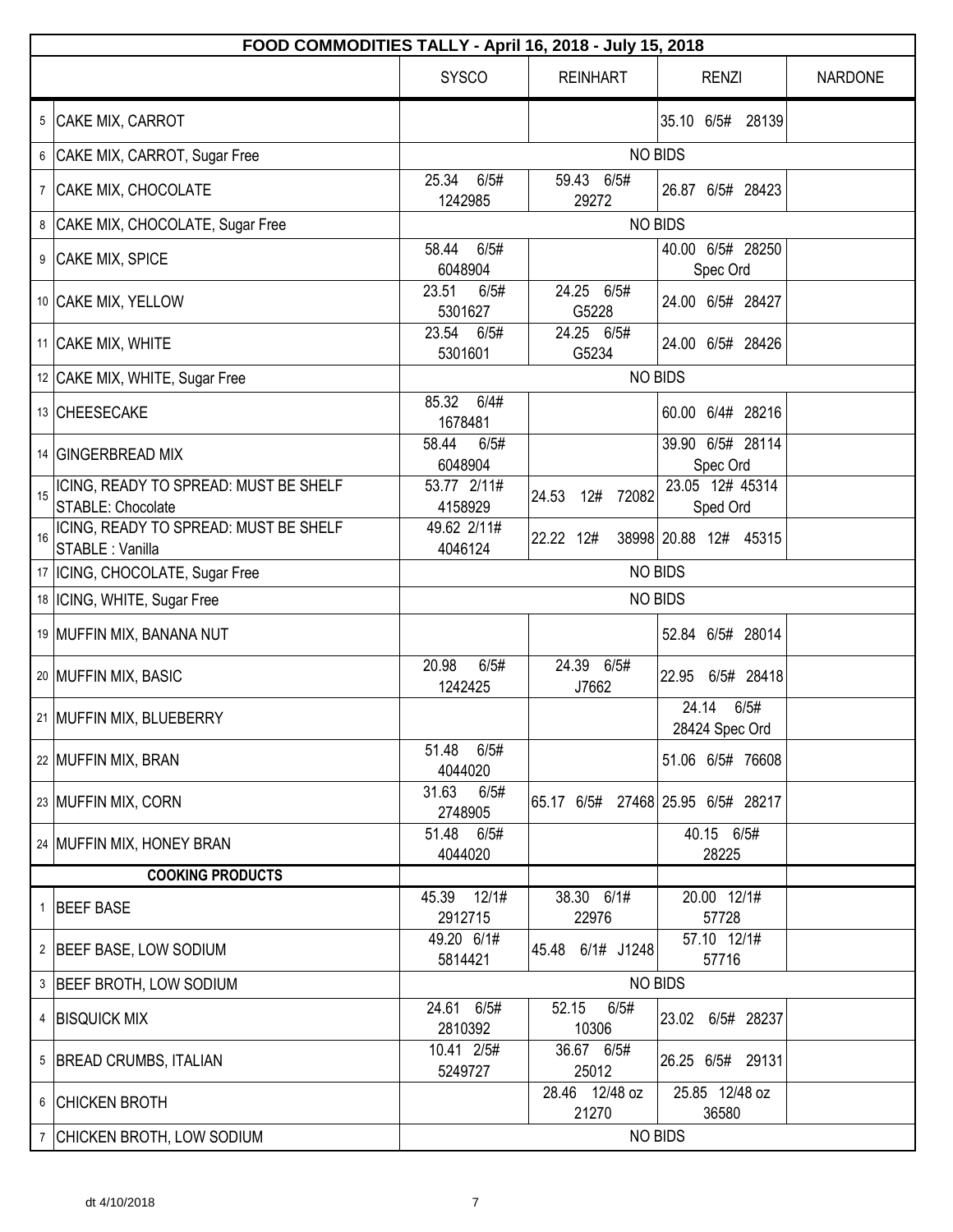| FOOD COMMODITIES TALLY - April 16, 2018 - July 15, 2018          |                          |                         |                                   |                |  |
|------------------------------------------------------------------|--------------------------|-------------------------|-----------------------------------|----------------|--|
|                                                                  | <b>SYSCO</b>             | <b>REINHART</b>         | <b>RENZI</b>                      | <b>NARDONE</b> |  |
| 5 CAKE MIX, CARROT                                               |                          |                         | 35.10 6/5# 28139                  |                |  |
| CAKE MIX, CARROT, Sugar Free<br>6                                |                          |                         | <b>NO BIDS</b>                    |                |  |
| CAKE MIX, CHOCOLATE<br>$7\phantom{.}$                            | 25.34<br>6/5#<br>1242985 | 59.43 6/5#<br>29272     | 26.87 6/5# 28423                  |                |  |
| CAKE MIX, CHOCOLATE, Sugar Free<br>8                             |                          |                         | <b>NO BIDS</b>                    |                |  |
| 9<br>CAKE MIX, SPICE                                             | 6/5#<br>58.44<br>6048904 |                         | 40.00 6/5# 28250<br>Spec Ord      |                |  |
| 10 CAKE MIX, YELLOW                                              | 23.51<br>6/5#<br>5301627 | 24.25 6/5#<br>G5228     | 24.00 6/5# 28427                  |                |  |
| 11 CAKE MIX, WHITE                                               | 23.54<br>6/5#<br>5301601 | 24.25 6/5#<br>G5234     | 24.00 6/5# 28426                  |                |  |
| 12 CAKE MIX, WHITE, Sugar Free                                   |                          |                         | <b>NO BIDS</b>                    |                |  |
| 13 CHEESECAKE                                                    | 85.32<br>6/4#<br>1678481 |                         | 60.00 6/4# 28216                  |                |  |
| 14 GINGERBREAD MIX                                               | 58.44<br>6/5#<br>6048904 |                         | 39.90 6/5# 28114<br>Spec Ord      |                |  |
| ICING, READY TO SPREAD: MUST BE SHELF<br>15<br>STABLE: Chocolate | 53.77 2/11#<br>4158929   | 12#<br>72082<br>24.53   | 23.05 12# 45314<br>Sped Ord       |                |  |
| ICING, READY TO SPREAD: MUST BE SHELF<br>16<br>STABLE : Vanilla  | 49.62 2/11#<br>4046124   | 22.22 12#               | 38998 20.88 12# 45315             |                |  |
| 17   ICING, CHOCOLATE, Sugar Free                                |                          |                         | <b>NO BIDS</b>                    |                |  |
| 18  ICING, WHITE, Sugar Free                                     |                          |                         | <b>NO BIDS</b>                    |                |  |
| 19 MUFFIN MIX, BANANA NUT                                        |                          |                         | 52.84 6/5# 28014                  |                |  |
| 20 MUFFIN MIX, BASIC                                             | 20.98<br>6/5#<br>1242425 | 24.39 6/5#<br>J7662     | 22.95 6/5# 28418                  |                |  |
| 21   MUFFIN MIX, BLUEBERRY                                       |                          |                         | 24.14<br>6/5#<br>28424 Spec Ord   |                |  |
| 22 MUFFIN MIX, BRAN                                              | 51.48<br>6/5#<br>4044020 |                         | 51.06 6/5# 76608                  |                |  |
| 23 MUFFIN MIX, CORN                                              | 31.63<br>6/5#<br>2748905 |                         | 65.17 6/5# 27468 25.95 6/5# 28217 |                |  |
| 24 MUFFIN MIX, HONEY BRAN                                        | 51.48 6/5#<br>4044020    |                         | 40.15 6/5#<br>28225               |                |  |
| <b>COOKING PRODUCTS</b>                                          |                          |                         |                                   |                |  |
| <b>BEEF BASE</b><br>$\mathbf{1}$                                 | 45.39 12/1#<br>2912715   | 38.30 6/1#<br>22976     | 20.00 12/1#<br>57728              |                |  |
| 2 BEEF BASE, LOW SODIUM                                          | 49.20 6/1#<br>5814421    | 45.48 6/1# J1248        | 57.10 12/1#<br>57716              |                |  |
| 3 BEEF BROTH, LOW SODIUM                                         |                          |                         | <b>NO BIDS</b>                    |                |  |
| 4 BISQUICK MIX                                                   | 24.61 6/5#<br>2810392    | 52.15<br>6/5#<br>10306  | 23.02 6/5# 28237                  |                |  |
| 5   BREAD CRUMBS, ITALIAN                                        | 10.41 2/5#<br>5249727    | 36.67 6/5#<br>25012     | 26.25 6/5# 29131                  |                |  |
| 6 CHICKEN BROTH                                                  |                          | 28.46 12/48 oz<br>21270 | 25.85 12/48 oz<br>36580           |                |  |
| 7 CHICKEN BROTH, LOW SODIUM                                      |                          |                         | <b>NO BIDS</b>                    |                |  |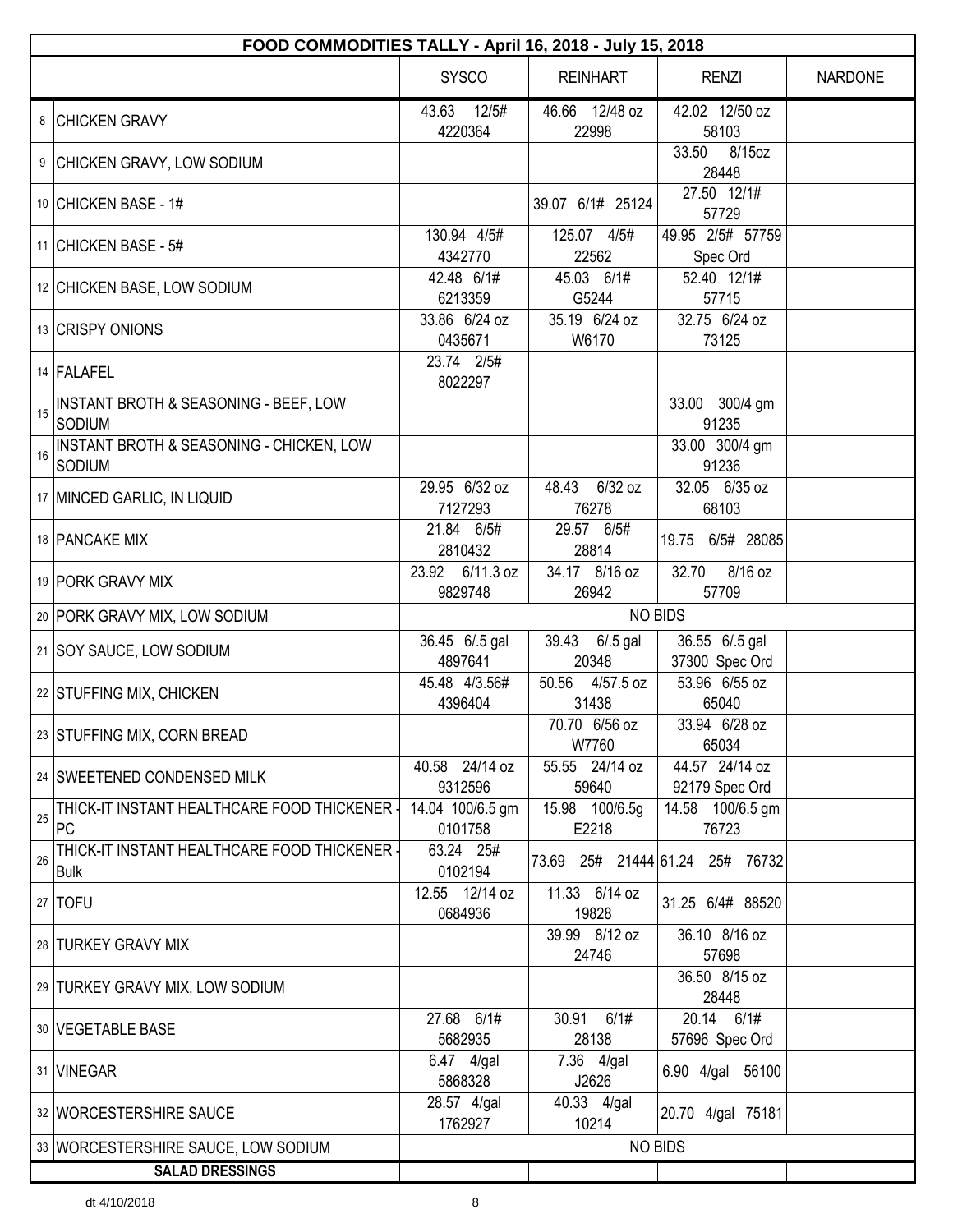|    | FOOD COMMODITIES TALLY - April 16, 2018 - July 15, 2018     |                             |                          |                                  |                |  |  |
|----|-------------------------------------------------------------|-----------------------------|--------------------------|----------------------------------|----------------|--|--|
|    |                                                             | <b>SYSCO</b>                | <b>REINHART</b>          | <b>RENZI</b>                     | <b>NARDONE</b> |  |  |
|    | 8 CHICKEN GRAVY                                             | 12/5#<br>43.63<br>4220364   | 46.66 12/48 oz<br>22998  | 42.02 12/50 oz<br>58103          |                |  |  |
|    | 9 CHICKEN GRAVY, LOW SODIUM                                 |                             |                          | 33.50<br>8/15oz<br>28448         |                |  |  |
|    | 10 CHICKEN BASE - 1#                                        |                             | 39.07 6/1# 25124         | 27.50 12/1#<br>57729             |                |  |  |
|    | 11 CHICKEN BASE - 5#                                        | 130.94 4/5#<br>4342770      | 125.07 4/5#<br>22562     | 49.95 2/5# 57759<br>Spec Ord     |                |  |  |
|    | 12 CHICKEN BASE, LOW SODIUM                                 | 42.48 6/1#<br>6213359       | 45.03 6/1#<br>G5244      | 52.40 12/1#<br>57715             |                |  |  |
|    | 13 CRISPY ONIONS                                            | 33.86 6/24 oz<br>0435671    | 35.19 6/24 oz<br>W6170   | 32.75 6/24 oz<br>73125           |                |  |  |
|    | 14 FALAFEL                                                  | 23.74 2/5#<br>8022297       |                          |                                  |                |  |  |
| 15 | INSTANT BROTH & SEASONING - BEEF, LOW<br>SODIUM             |                             |                          | 33.00 300/4 gm<br>91235          |                |  |  |
| 16 | INSTANT BROTH & SEASONING - CHICKEN, LOW<br>SODIUM          |                             |                          | 33.00 300/4 gm<br>91236          |                |  |  |
|    | 17 MINCED GARLIC, IN LIQUID                                 | 29.95 6/32 oz<br>7127293    | 48.43 6/32 oz<br>76278   | 32.05 6/35 oz<br>68103           |                |  |  |
|    | 18 PANCAKE MIX                                              | 21.84 6/5#<br>2810432       | 29.57 6/5#<br>28814      | 19.75 6/5# 28085                 |                |  |  |
|    | 19 PORK GRAVY MIX                                           | 23.92 6/11.3 oz<br>9829748  | 34.17 8/16 oz<br>26942   | 32.70<br>8/16 oz<br>57709        |                |  |  |
|    | 20 PORK GRAVY MIX, LOW SODIUM                               | <b>NO BIDS</b>              |                          |                                  |                |  |  |
|    | 21   SOY SAUCE, LOW SODIUM                                  | 36.45 6/.5 gal<br>4897641   | 39.43 6/.5 gal<br>20348  | 36.55 6/.5 gal<br>37300 Spec Ord |                |  |  |
|    | 22 STUFFING MIX, CHICKEN                                    | 45.48 4/3.56#<br>4396404    | 50.56 4/57.5 oz<br>31438 | 53.96 6/55 oz<br>65040           |                |  |  |
|    | 23 STUFFING MIX, CORN BREAD                                 |                             | 70.70 6/56 oz<br>W7760   | 33.94 6/28 oz<br>65034           |                |  |  |
|    | 24 SWEETENED CONDENSED MILK                                 | 40.58 24/14 oz<br>9312596   | 55.55 24/14 oz<br>59640  | 44.57 24/14 oz<br>92179 Spec Ord |                |  |  |
| 25 | THICK-IT INSTANT HEALTHCARE FOOD THICKENER -<br>PC          | 14.04 100/6.5 gm<br>0101758 | 15.98 100/6.5g<br>E2218  | 14.58 100/6.5 gm<br>76723        |                |  |  |
| 26 | THICK-IT INSTANT HEALTHCARE FOOD THICKENER -<br><b>Bulk</b> | 63.24 25#<br>0102194        |                          | 73.69 25# 21444 61.24 25# 76732  |                |  |  |
|    | 27 TOFU                                                     | 12.55 12/14 oz<br>0684936   | 11.33 6/14 oz<br>19828   | 31.25 6/4# 88520                 |                |  |  |
|    | 28 TURKEY GRAVY MIX                                         |                             | 39.99 8/12 oz<br>24746   | 36.10 8/16 oz<br>57698           |                |  |  |
|    | 29 TURKEY GRAVY MIX, LOW SODIUM                             |                             |                          | 36.50 8/15 oz<br>28448           |                |  |  |
|    | 30   VEGETABLE BASE                                         | 27.68 6/1#<br>5682935       | 30.91 6/1#<br>28138      | 20.14 6/1#<br>57696 Spec Ord     |                |  |  |
|    | 31 VINEGAR                                                  | 6.47 4/gal<br>5868328       | 7.36 4/gal<br>J2626      | 6.90 4/gal 56100                 |                |  |  |
|    | 32   WORCESTERSHIRE SAUCE                                   | 28.57 4/gal<br>1762927      | 40.33 4/gal<br>10214     | 20.70 4/gal 75181                |                |  |  |
|    | 33   WORCESTERSHIRE SAUCE, LOW SODIUM                       |                             |                          | <b>NO BIDS</b>                   |                |  |  |
|    | <b>SALAD DRESSINGS</b>                                      |                             |                          |                                  |                |  |  |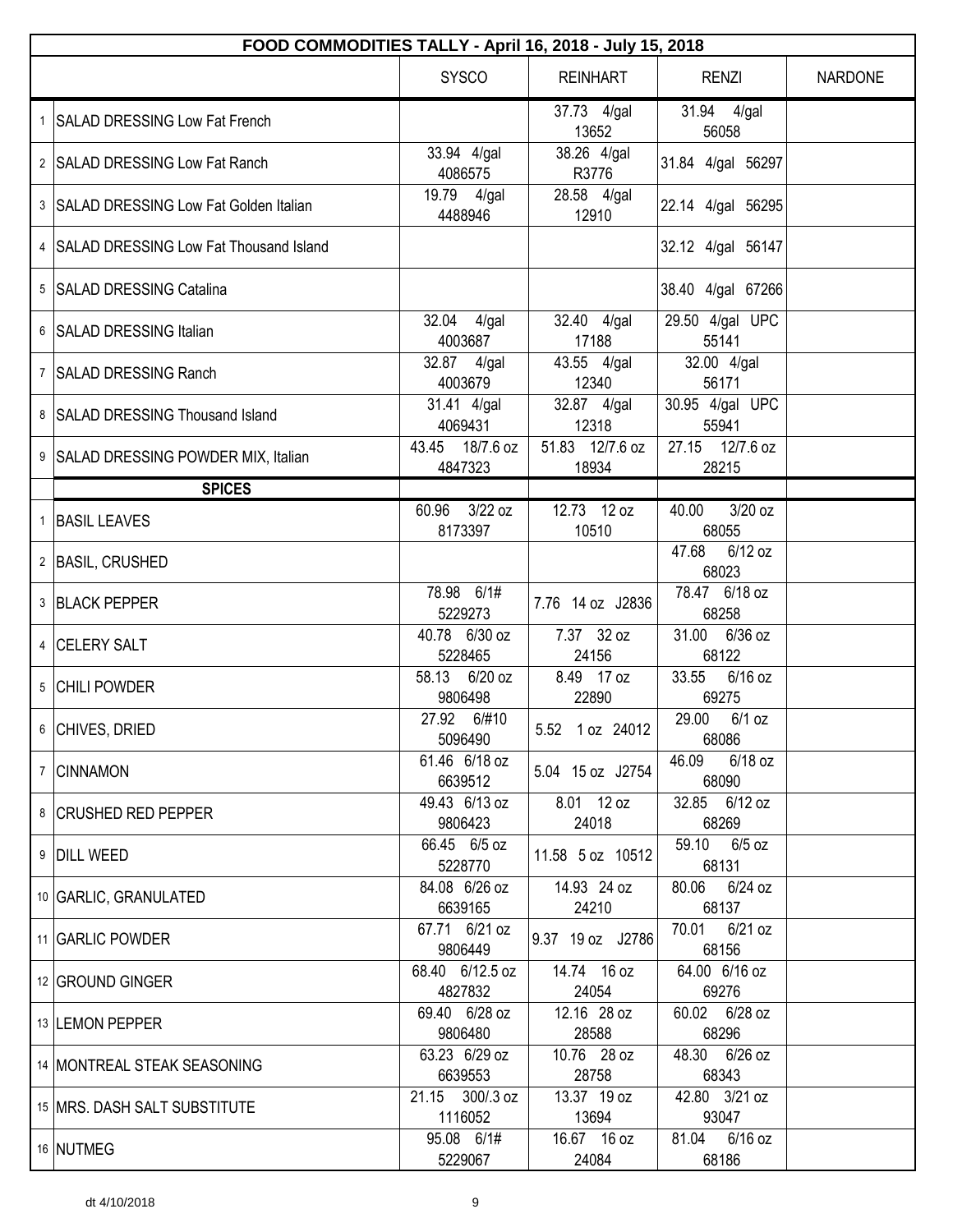| FOOD COMMODITIES TALLY - April 16, 2018 - July 15, 2018 |                            |                          |                             |                |  |
|---------------------------------------------------------|----------------------------|--------------------------|-----------------------------|----------------|--|
|                                                         | <b>SYSCO</b>               | <b>REINHART</b>          | <b>RENZI</b>                | <b>NARDONE</b> |  |
| 1 SALAD DRESSING Low Fat French                         |                            | 37.73 4/gal<br>13652     | 31.94 4/gal<br>56058        |                |  |
| 2 SALAD DRESSING Low Fat Ranch                          | 33.94 4/gal<br>4086575     | 38.26 4/gal<br>R3776     | 31.84 4/gal 56297           |                |  |
| 3 SALAD DRESSING Low Fat Golden Italian                 | 19.79 4/gal<br>4488946     | 28.58 4/gal<br>12910     | 22.14 4/gal 56295           |                |  |
| 4 SALAD DRESSING Low Fat Thousand Island                |                            |                          | 32.12 4/gal 56147           |                |  |
| 5 SALAD DRESSING Catalina                               |                            |                          | 38.40 4/gal 67266           |                |  |
| 6 SALAD DRESSING Italian                                | 32.04 4/gal<br>4003687     | 32.40 4/gal<br>17188     | 29.50 4/gal UPC<br>55141    |                |  |
| 7 SALAD DRESSING Ranch                                  | 32.87 4/gal<br>4003679     | 43.55 4/gal<br>12340     | 32.00 4/gal<br>56171        |                |  |
| 8 SALAD DRESSING Thousand Island                        | 31.41 4/gal<br>4069431     | 32.87 4/gal<br>12318     | 30.95 4/gal UPC<br>55941    |                |  |
| 9 SALAD DRESSING POWDER MIX, Italian                    | 43.45 18/7.6 oz<br>4847323 | 51.83 12/7.6 oz<br>18934 | 27.15 12/7.6 oz<br>28215    |                |  |
| <b>SPICES</b>                                           |                            |                          |                             |                |  |
| 1 BASIL LEAVES                                          | 60.96 3/22 oz<br>8173397   | 12.73 12 oz<br>10510     | $3/20$ oz<br>40.00<br>68055 |                |  |
| 2 BASIL, CRUSHED                                        |                            |                          | 47.68<br>6/12 oz<br>68023   |                |  |
| 3 BLACK PEPPER                                          | 78.98 6/1#<br>5229273      | 7.76 14 oz J2836         | 78.47 6/18 oz<br>68258      |                |  |
| 4 CELERY SALT                                           | 40.78 6/30 oz<br>5228465   | 7.37 32 oz<br>24156      | 31.00 6/36 oz<br>68122      |                |  |
| 5 CHILI POWDER                                          | 58.13 6/20 oz<br>9806498   | 8.49 17 oz<br>22890      | 33.55<br>6/16 oz<br>69275   |                |  |
| 6 CHIVES, DRIED                                         | 27.92 6/#10<br>5096490     | 5.52 1 oz 24012          | 29.00<br>$6/1$ oz<br>68086  |                |  |
| 7 CINNAMON                                              | 61.46 6/18 oz<br>6639512   | 5.04 15 oz J2754         | 46.09<br>6/18 oz<br>68090   |                |  |
| 8 CRUSHED RED PEPPER                                    | 49.43 6/13 oz<br>9806423   | 8.01 12 oz<br>24018      | 32.85 6/12 oz<br>68269      |                |  |
| 9 DILL WEED                                             | 66.45 6/5 oz<br>5228770    | 11.58 5 oz 10512         | 59.10<br>6/5 oz<br>68131    |                |  |
| 10 GARLIC, GRANULATED                                   | 84.08 6/26 oz<br>6639165   | 14.93 24 oz<br>24210     | 80.06 6/24 oz<br>68137      |                |  |
| 11 GARLIC POWDER                                        | 67.71 6/21 oz<br>9806449   | 9.37 19 oz J2786         | 70.01<br>6/21 oz<br>68156   |                |  |
| 12 GROUND GINGER                                        | 68.40 6/12.5 oz<br>4827832 | 14.74 16 oz<br>24054     | 64.00 6/16 oz<br>69276      |                |  |
| 13 LEMON PEPPER                                         | 69.40 6/28 oz<br>9806480   | 12.16 28 oz<br>28588     | 60.02 6/28 oz<br>68296      |                |  |
| 14   MONTREAL STEAK SEASONING                           | 63.23 6/29 oz<br>6639553   | 10.76 28 oz<br>28758     | 48.30 6/26 oz<br>68343      |                |  |
| 15   MRS. DASH SALT SUBSTITUTE                          | 21.15 300/.3 oz<br>1116052 | 13.37 19 oz<br>13694     | 42.80 3/21 oz<br>93047      |                |  |
| 16 NUTMEG                                               | 95.08 6/1#<br>5229067      | 16.67 16 oz<br>24084     | 81.04 6/16 oz<br>68186      |                |  |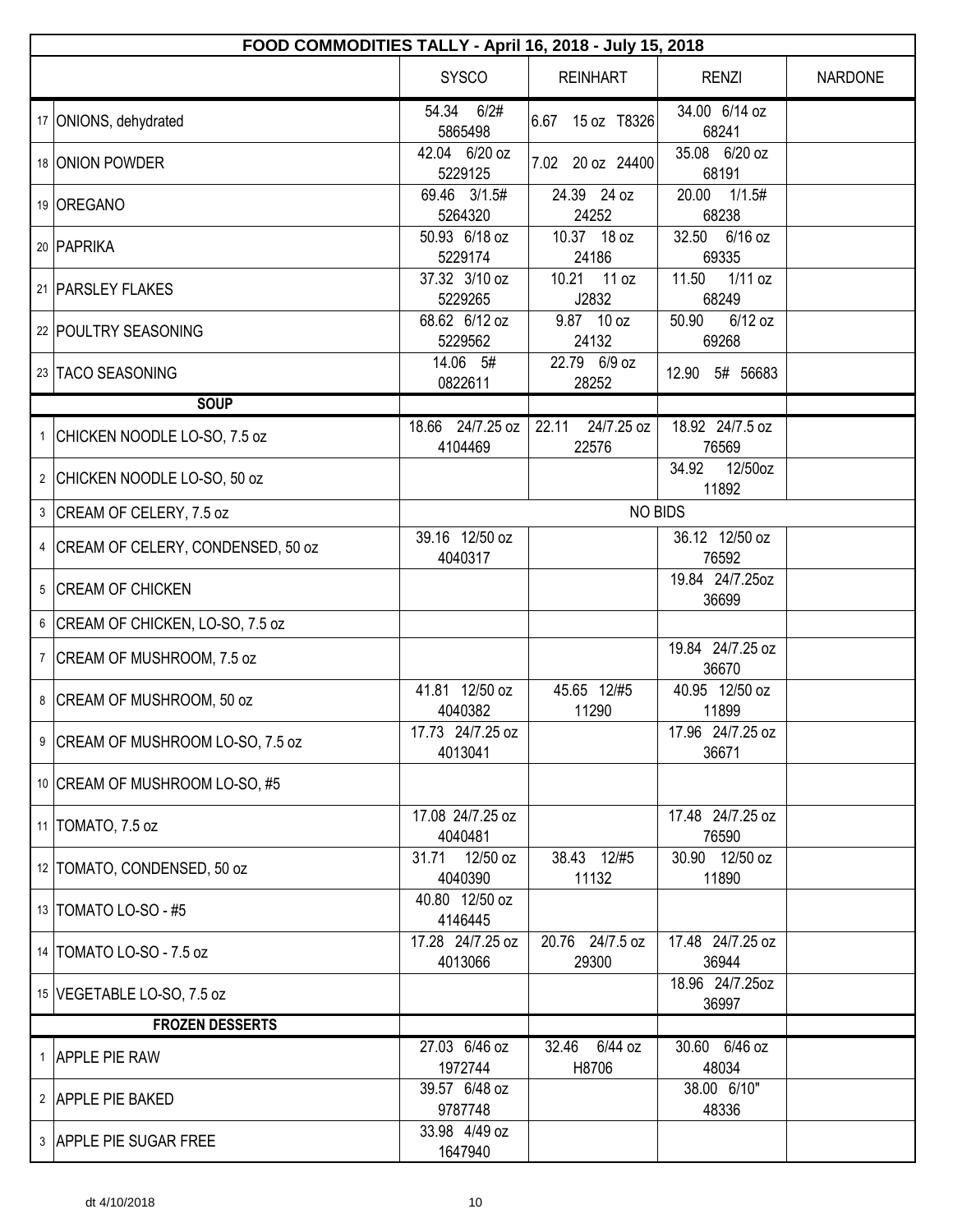|   | FOOD COMMODITIES TALLY - April 16, 2018 - July 15, 2018 |                             |                              |                             |                |  |  |
|---|---------------------------------------------------------|-----------------------------|------------------------------|-----------------------------|----------------|--|--|
|   |                                                         | <b>SYSCO</b>                | <b>REINHART</b>              | <b>RENZI</b>                | <b>NARDONE</b> |  |  |
|   | 17 ONIONS, dehydrated                                   | 54.34 6/2#<br>5865498       | 6.67 15 oz T8326             | 34.00 6/14 oz<br>68241      |                |  |  |
|   | 18 ONION POWDER                                         | 42.04 6/20 oz<br>5229125    | 7.02 20 oz 24400             | 35.08 6/20 oz<br>68191      |                |  |  |
|   | 19 OREGANO                                              | 69.46 3/1.5#<br>5264320     | 24.39 24 oz<br>24252         | 20.00 1/1.5#<br>68238       |                |  |  |
|   | 20 PAPRIKA                                              | 50.93 6/18 oz<br>5229174    | 10.37 18 oz<br>24186         | 32.50 6/16 oz<br>69335      |                |  |  |
|   | 21   PARSLEY FLAKES                                     | 37.32 3/10 oz<br>5229265    | 10.21 11 oz<br>J2832         | 11.50<br>$1/11$ oz<br>68249 |                |  |  |
|   | 22 POULTRY SEASONING                                    | 68.62 6/12 oz<br>5229562    | 9.87 10 oz<br>24132          | 6/12 oz<br>50.90<br>69268   |                |  |  |
|   | 23 TACO SEASONING                                       | 14.06 5#<br>0822611         | 22.79 6/9 oz<br>28252        | 12.90 5# 56683              |                |  |  |
|   | <b>SOUP</b>                                             |                             |                              |                             |                |  |  |
|   | 1 CHICKEN NOODLE LO-SO, 7.5 oz                          | 18.66 24/7.25 oz<br>4104469 | 22.11<br>24/7.25 oz<br>22576 | 18.92 24/7.5 oz<br>76569    |                |  |  |
|   | 2 CHICKEN NOODLE LO-SO, 50 oz                           |                             |                              | 34.92<br>12/50oz<br>11892   |                |  |  |
|   | 3 CREAM OF CELERY, 7.5 oz                               |                             | <b>NO BIDS</b>               |                             |                |  |  |
| 4 | CREAM OF CELERY, CONDENSED, 50 oz                       | 39.16 12/50 oz<br>4040317   |                              | 36.12 12/50 oz<br>76592     |                |  |  |
|   | 5 CREAM OF CHICKEN                                      |                             |                              | 19.84 24/7.25oz<br>36699    |                |  |  |
|   | 6 CREAM OF CHICKEN, LO-SO, 7.5 oz                       |                             |                              |                             |                |  |  |
|   | 7   CREAM OF MUSHROOM, 7.5 oz                           |                             |                              | 19.84 24/7.25 oz<br>36670   |                |  |  |
|   | 8   CREAM OF MUSHROOM, 50 oz                            | 41.81 12/50 oz<br>4040382   | 45.65 12/#5<br>11290         | 40.95 12/50 oz<br>11899     |                |  |  |
|   | 9 CREAM OF MUSHROOM LO-SO, 7.5 oz                       | 17.73 24/7.25 oz<br>4013041 |                              | 17.96 24/7.25 oz<br>36671   |                |  |  |
|   | 10 CREAM OF MUSHROOM LO-SO, #5                          |                             |                              |                             |                |  |  |
|   | 11   TOMATO, 7.5 oz                                     | 17.08 24/7.25 oz<br>4040481 |                              | 17.48 24/7.25 oz<br>76590   |                |  |  |
|   | 12 TOMATO, CONDENSED, 50 oz                             | 31.71 12/50 oz<br>4040390   | 38.43 12/#5<br>11132         | 30.90 12/50 oz<br>11890     |                |  |  |
|   | 13   TOMATO LO-SO - #5                                  | 40.80 12/50 oz<br>4146445   |                              |                             |                |  |  |
|   | 14   TOMATO LO-SO - 7.5 oz                              | 17.28 24/7.25 oz<br>4013066 | 20.76 24/7.5 oz<br>29300     | 17.48 24/7.25 oz<br>36944   |                |  |  |
|   | 15   VEGETABLE LO-SO, 7.5 oz                            |                             |                              | 18.96 24/7.25oz<br>36997    |                |  |  |
|   | <b>FROZEN DESSERTS</b>                                  |                             |                              |                             |                |  |  |
|   | 1 APPLE PIE RAW                                         | 27.03 6/46 oz<br>1972744    | 6/44 oz<br>32.46<br>H8706    | 30.60 6/46 oz<br>48034      |                |  |  |
|   | 2 APPLE PIE BAKED                                       | 39.57 6/48 oz<br>9787748    |                              | 38.00 6/10"<br>48336        |                |  |  |
|   | 3 APPLE PIE SUGAR FREE                                  | 33.98 4/49 oz<br>1647940    |                              |                             |                |  |  |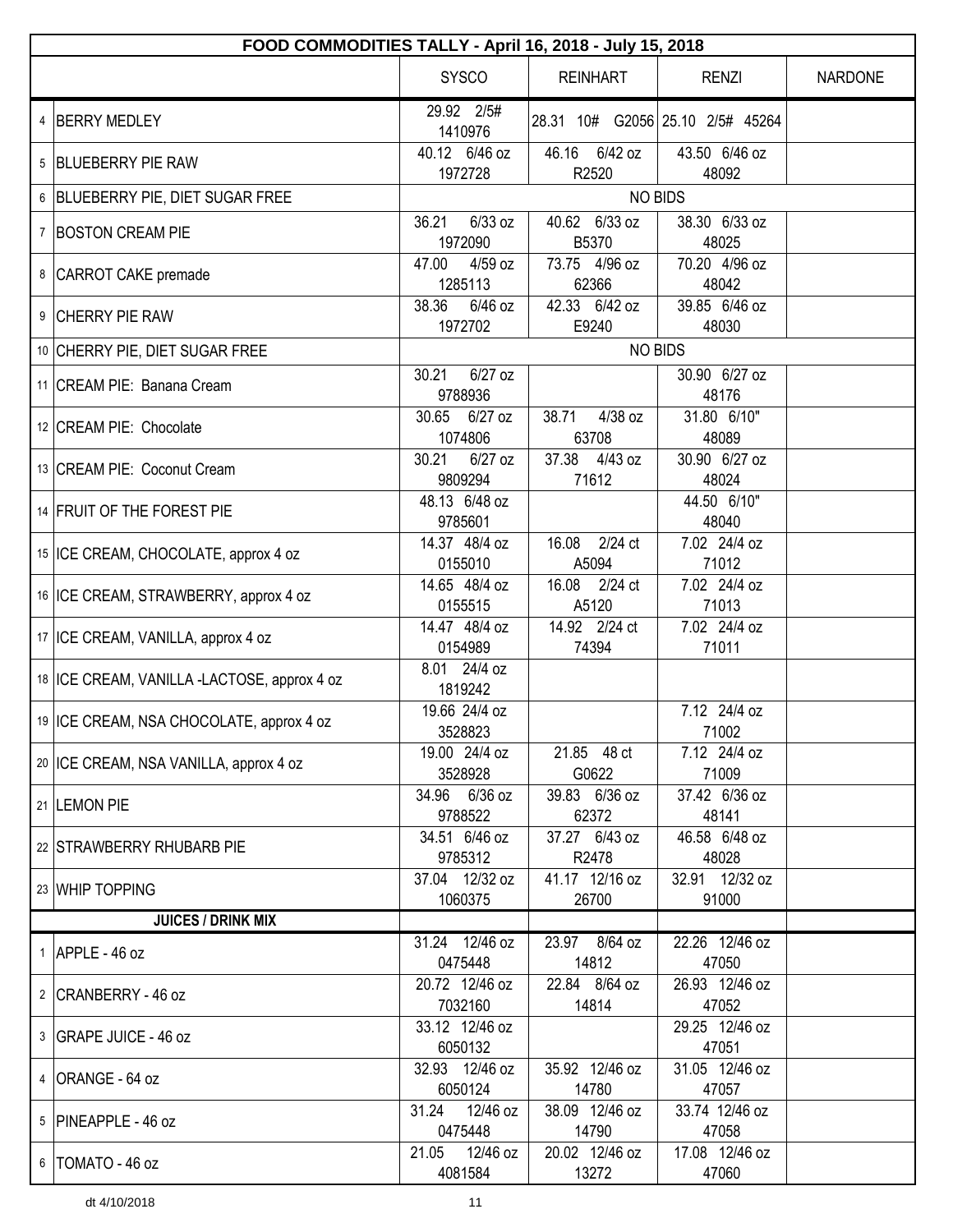| FOOD COMMODITIES TALLY - April 16, 2018 - July 15, 2018 |                               |                        |                                  |                |  |
|---------------------------------------------------------|-------------------------------|------------------------|----------------------------------|----------------|--|
|                                                         | <b>SYSCO</b>                  | <b>REINHART</b>        | <b>RENZI</b>                     | <b>NARDONE</b> |  |
| 4 BERRY MEDLEY                                          | 29.92 2/5#<br>1410976         |                        | 28.31 10# G2056 25.10 2/5# 45264 |                |  |
| 5 BLUEBERRY PIE RAW                                     | 40.12 6/46 oz<br>1972728      | 46.16 6/42 oz<br>R2520 | 43.50 6/46 oz<br>48092           |                |  |
| 6 BLUEBERRY PIE, DIET SUGAR FREE                        |                               |                        | <b>NO BIDS</b>                   |                |  |
|                                                         | $6/33$ oz<br>36.21            | 40.62 6/33 oz          | 38.30 6/33 oz                    |                |  |
| 7 BOSTON CREAM PIE                                      | 1972090                       | B5370                  | 48025                            |                |  |
| 8 CARROT CAKE premade                                   | 47.00<br>$4/59$ oz            | 73.75 4/96 oz          | 70.20 4/96 oz                    |                |  |
|                                                         | 1285113                       | 62366                  | 48042                            |                |  |
| 9 CHERRY PIE RAW                                        | 38.36<br>$6/46$ oz            | 42.33 6/42 oz          | 39.85 6/46 oz                    |                |  |
|                                                         | 1972702                       | E9240                  | 48030                            |                |  |
| 10 CHERRY PIE, DIET SUGAR FREE                          |                               |                        | <b>NO BIDS</b>                   |                |  |
| 11   CREAM PIE: Banana Cream                            | 30.21<br>$6/27$ oz<br>9788936 |                        | 30.90 6/27 oz<br>48176           |                |  |
| 12 CREAM PIE: Chocolate                                 | 30.65 6/27 oz                 | 4/38 oz<br>38.71       | 31.80 6/10"                      |                |  |
|                                                         | 1074806                       | 63708                  | 48089                            |                |  |
| 13 CREAM PIE: Coconut Cream                             | 30.21<br>$6/27$ oz            | 37.38 4/43 oz          | 30.90 6/27 oz                    |                |  |
|                                                         | 9809294<br>48.13 6/48 oz      | 71612                  | 48024<br>44.50 6/10"             |                |  |
| 14 FRUIT OF THE FOREST PIE                              | 9785601                       |                        | 48040                            |                |  |
|                                                         | 14.37 48/4 oz                 | 16.08 2/24 ct          | 7.02 24/4 oz                     |                |  |
| 15   ICE CREAM, CHOCOLATE, approx 4 oz                  | 0155010                       | A5094                  | 71012                            |                |  |
|                                                         | 14.65 48/4 oz                 | 16.08 2/24 ct          | 7.02 24/4 oz                     |                |  |
| 16   ICE CREAM, STRAWBERRY, approx 4 oz                 | 0155515                       | A5120                  | 71013                            |                |  |
| 17   ICE CREAM, VANILLA, approx 4 oz                    | 14.47 48/4 oz                 | 14.92 2/24 ct          | 7.02 24/4 oz                     |                |  |
|                                                         | 0154989                       | 74394                  | 71011                            |                |  |
| 18 ICE CREAM, VANILLA -LACTOSE, approx 4 oz             | 8.01 24/4 oz                  |                        |                                  |                |  |
|                                                         | 1819242                       |                        | 7.12 24/4 oz                     |                |  |
| 19   ICE CREAM, NSA CHOCOLATE, approx 4 oz              | 19.66 24/4 oz<br>3528823      |                        | 71002                            |                |  |
|                                                         | 19.00 24/4 oz                 | 21.85 48 ct            | 7.12 24/4 oz                     |                |  |
| 20 ICE CREAM, NSA VANILLA, approx 4 oz                  | 3528928                       | G0622                  | 71009                            |                |  |
|                                                         | 34.96 6/36 oz                 | 39.83 6/36 oz          | 37.42 6/36 oz                    |                |  |
| 21  LEMON PIE                                           | 9788522                       | 62372                  | 48141                            |                |  |
| 22 STRAWBERRY RHUBARB PIE                               | 34.51 6/46 oz                 | 37.27 6/43 oz          | 46.58 6/48 oz                    |                |  |
|                                                         | 9785312                       | R2478                  | 48028                            |                |  |
| 23 WHIP TOPPING                                         | 37.04 12/32 oz                | 41.17 12/16 oz         | 32.91 12/32 oz                   |                |  |
| <b>JUICES / DRINK MIX</b>                               | 1060375                       | 26700                  | 91000                            |                |  |
|                                                         | 31.24 12/46 oz                | 23.97 8/64 oz          | 22.26 12/46 oz                   |                |  |
| $1$ APPLE - 46 oz                                       | 0475448                       | 14812                  | 47050                            |                |  |
|                                                         | 20.72 12/46 oz                | 22.84 8/64 oz          | 26.93 12/46 oz                   |                |  |
| 2 CRANBERRY - 46 oz                                     | 7032160                       | 14814                  | 47052                            |                |  |
| 3   GRAPE JUICE - 46 oz                                 | 33.12 12/46 oz<br>6050132     |                        | 29.25 12/46 oz<br>47051          |                |  |
|                                                         | 32.93 12/46 oz                | 35.92 12/46 oz         | 31.05 12/46 oz                   |                |  |
| 4 ORANGE - 64 oz                                        | 6050124                       | 14780                  | 47057                            |                |  |
| 5 PINEAPPLE - 46 oz                                     | 31.24 12/46 oz                | 38.09 12/46 oz         | 33.74 12/46 oz                   |                |  |
|                                                         | 0475448                       | 14790                  | 47058                            |                |  |
| 6   TOMATO - 46 oz                                      | 21.05 12/46 oz                | 20.02 12/46 oz         | 17.08 12/46 oz                   |                |  |
|                                                         | 4081584                       | 13272                  | 47060                            |                |  |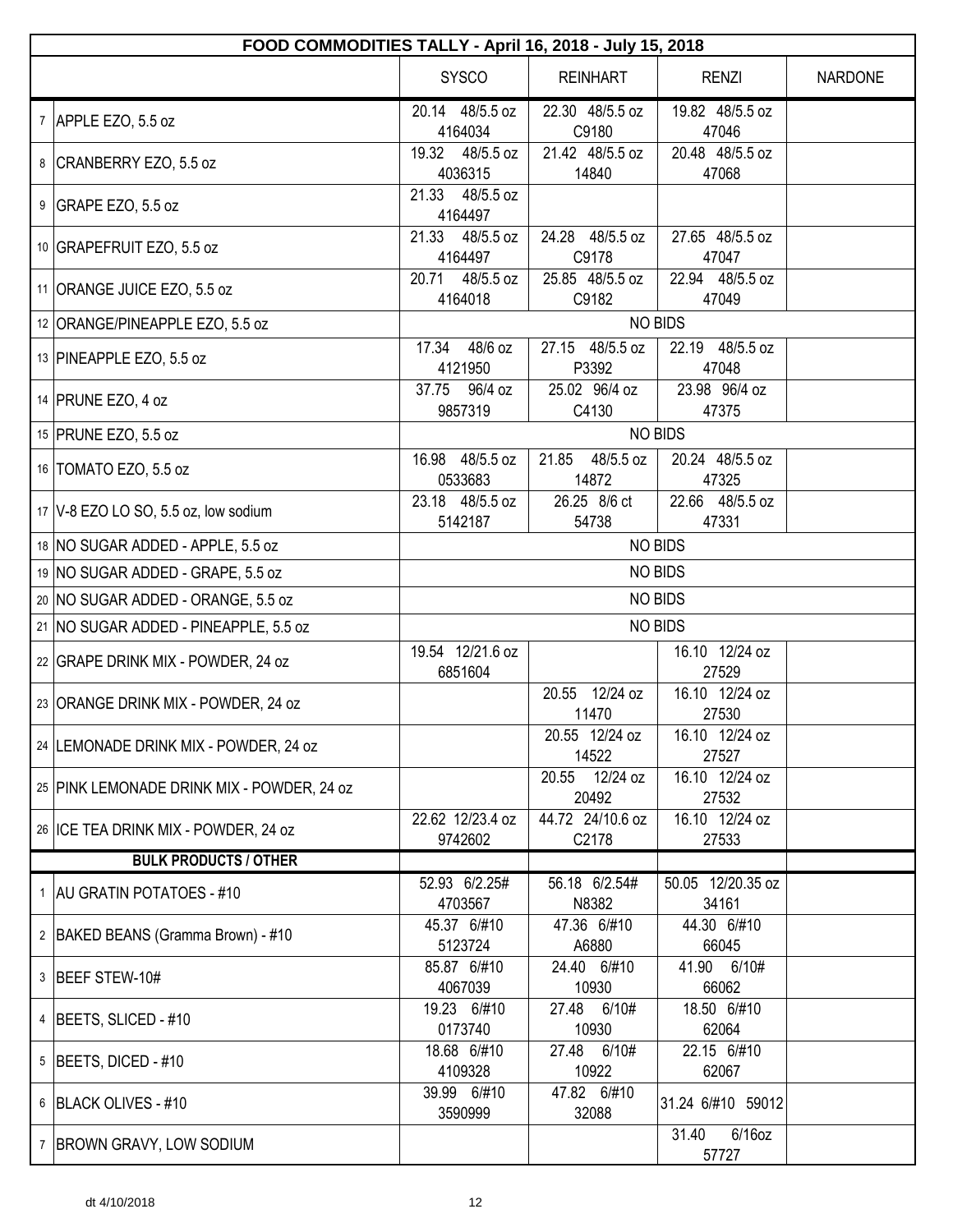| FOOD COMMODITIES TALLY - April 16, 2018 - July 15, 2018 |                               |                             |                             |                |  |
|---------------------------------------------------------|-------------------------------|-----------------------------|-----------------------------|----------------|--|
|                                                         | <b>SYSCO</b>                  | <b>REINHART</b>             | <b>RENZI</b>                | <b>NARDONE</b> |  |
| 7 APPLE EZO, 5.5 oz                                     | 20.14 48/5.5 oz<br>4164034    | 22.30 48/5.5 oz<br>C9180    | 19.82 48/5.5 oz<br>47046    |                |  |
| 8 CRANBERRY EZO, 5.5 oz                                 | 19.32 48/5.5 oz<br>4036315    | 21.42 48/5.5 oz<br>14840    | 20.48 48/5.5 oz<br>47068    |                |  |
| 9 GRAPE EZO, 5.5 oz                                     | 21.33 48/5.5 oz<br>4164497    |                             |                             |                |  |
| 10 GRAPEFRUIT EZO, 5.5 oz                               | 21.33 48/5.5 oz<br>4164497    | 24.28 48/5.5 oz<br>C9178    | 27.65 48/5.5 oz<br>47047    |                |  |
| 11 ORANGE JUICE EZO, 5.5 oz                             | 20.71<br>48/5.5 oz<br>4164018 | 25.85 48/5.5 oz<br>C9182    | 22.94 48/5.5 oz<br>47049    |                |  |
| 12 ORANGE/PINEAPPLE EZO, 5.5 oz                         |                               |                             | <b>NO BIDS</b>              |                |  |
| 13 PINEAPPLE EZO, 5.5 oz                                | 17.34 48/6 oz<br>4121950      | 27.15 48/5.5 oz<br>P3392    | 22.19 48/5.5 oz<br>47048    |                |  |
| 14 PRUNE EZO, 4 oz                                      | 37.75 96/4 oz<br>9857319      | 25.02 96/4 oz<br>C4130      | 23.98 96/4 oz<br>47375      |                |  |
| 15 PRUNE EZO, 5.5 oz                                    |                               |                             | <b>NO BIDS</b>              |                |  |
| 16   TOMATO EZO, 5.5 oz                                 | 16.98 48/5.5 oz<br>0533683    | 48/5.5 oz<br>21.85<br>14872 | 20.24 48/5.5 oz<br>47325    |                |  |
| 17   V-8 EZO LO SO, 5.5 oz, low sodium                  | 23.18 48/5.5 oz<br>5142187    | 26.25 8/6 ct<br>54738       | 22.66 48/5.5 oz<br>47331    |                |  |
| 18 NO SUGAR ADDED - APPLE, 5.5 oz                       | <b>NO BIDS</b>                |                             |                             |                |  |
| 19 NO SUGAR ADDED - GRAPE, 5.5 oz                       | <b>NO BIDS</b>                |                             |                             |                |  |
| 20 NO SUGAR ADDED - ORANGE, 5.5 oz                      | <b>NO BIDS</b>                |                             |                             |                |  |
| 21   NO SUGAR ADDED - PINEAPPLE, 5.5 oz                 | <b>NO BIDS</b>                |                             |                             |                |  |
| 22 GRAPE DRINK MIX - POWDER, 24 oz                      | 19.54 12/21.6 oz<br>6851604   |                             | 16.10 12/24 oz<br>27529     |                |  |
| 23 ORANGE DRINK MIX - POWDER, 24 oz                     |                               | 20.55 12/24 oz<br>11470     | 16.10 12/24 oz<br>27530     |                |  |
| 24 LEMONADE DRINK MIX - POWDER, 24 oz                   |                               | 20.55 12/24 oz<br>14522     | 16.10 12/24 oz<br>27527     |                |  |
| 25 PINK LEMONADE DRINK MIX - POWDER, 24 oz              |                               | 20.55 12/24 oz<br>20492     | 16.10 12/24 oz<br>27532     |                |  |
| 26 ICE TEA DRINK MIX - POWDER, 24 oz                    | 22.62 12/23.4 oz<br>9742602   | 44.72 24/10.6 oz<br>C2178   | 16.10 12/24 oz<br>27533     |                |  |
| <b>BULK PRODUCTS / OTHER</b>                            |                               |                             |                             |                |  |
| 1 AU GRATIN POTATOES - #10                              | 52.93 6/2.25#<br>4703567      | 56.18 6/2.54#<br>N8382      | 50.05 12/20.35 oz<br>34161  |                |  |
| 2   BAKED BEANS (Gramma Brown) - #10                    | 45.37 6/#10<br>5123724        | 47.36 6/#10<br>A6880        | 44.30 6/#10<br>66045        |                |  |
| 3 BEEF STEW-10#                                         | 85.87 6/#10<br>4067039        | 24.40 6/#10<br>10930        | 41.90 6/10#<br>66062        |                |  |
| 4   BEETS, SLICED - #10                                 | 19.23 6/#10<br>0173740        | 27.48 6/10#<br>10930        | 18.50 6/#10<br>62064        |                |  |
| $5$ BEETS, DICED - #10                                  | 18.68 6/#10<br>4109328        | 27.48 6/10#<br>10922        | 22.15 6/#10<br>62067        |                |  |
| 6 BLACK OLIVES - #10                                    | 39.99 6/#10<br>3590999        | 47.82 6/#10<br>32088        | 31.24 6/#10 59012           |                |  |
| 7 BROWN GRAVY, LOW SODIUM                               |                               |                             | $6/16$ oz<br>31.40<br>57727 |                |  |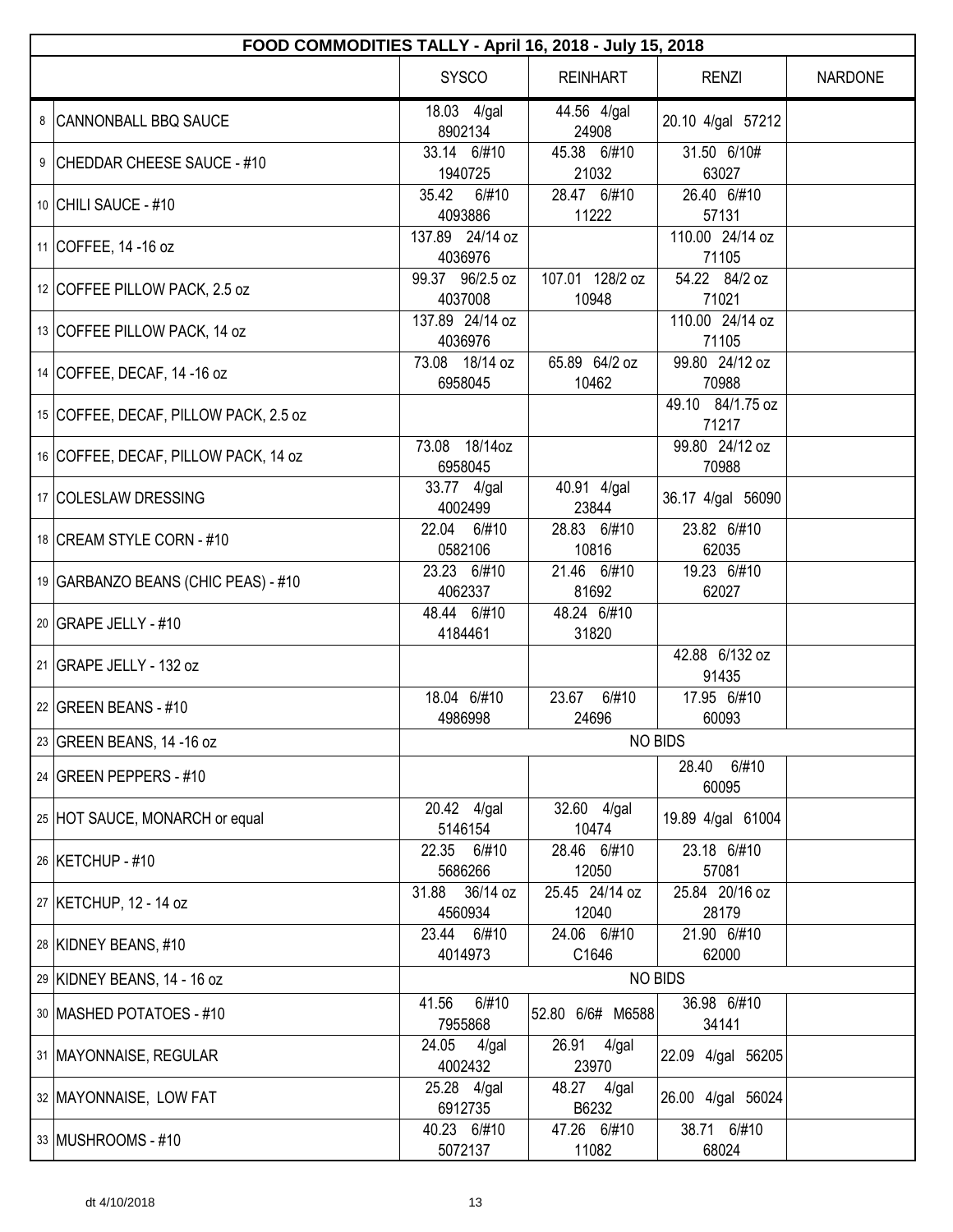| FOOD COMMODITIES TALLY - April 16, 2018 - July 15, 2018 |                            |                          |                           |                |  |  |
|---------------------------------------------------------|----------------------------|--------------------------|---------------------------|----------------|--|--|
|                                                         | <b>SYSCO</b>               | <b>REINHART</b>          | <b>RENZI</b>              | <b>NARDONE</b> |  |  |
| 8 CANNONBALL BBQ SAUCE                                  | 18.03 4/gal<br>8902134     | 44.56 4/gal<br>24908     | 20.10 4/gal 57212         |                |  |  |
| 9 CHEDDAR CHEESE SAUCE - #10                            | 33.14 6/#10<br>1940725     | 45.38 6/#10<br>21032     | 31.50 6/10#<br>63027      |                |  |  |
| 10 CHILI SAUCE - #10                                    | 35.42<br>6/#10<br>4093886  | 28.47 6/#10<br>11222     | 26.40 6/#10<br>57131      |                |  |  |
| 11 COFFEE, 14 -16 oz                                    | 137.89 24/14 oz<br>4036976 |                          | 110.00 24/14 oz<br>71105  |                |  |  |
| 12 COFFEE PILLOW PACK, 2.5 oz                           | 99.37 96/2.5 oz<br>4037008 | 107.01 128/2 oz<br>10948 | 54.22 84/2 oz<br>71021    |                |  |  |
| 13 COFFEE PILLOW PACK, 14 oz                            | 137.89 24/14 oz<br>4036976 |                          | 110.00 24/14 oz<br>71105  |                |  |  |
| 14 COFFEE, DECAF, 14 -16 oz                             | 73.08 18/14 oz<br>6958045  | 65.89 64/2 oz<br>10462   | 99.80 24/12 oz<br>70988   |                |  |  |
| 15 COFFEE, DECAF, PILLOW PACK, 2.5 oz                   |                            |                          | 49.10 84/1.75 oz<br>71217 |                |  |  |
| 16 COFFEE, DECAF, PILLOW PACK, 14 oz                    | 73.08 18/14oz<br>6958045   |                          | 99.80 24/12 oz<br>70988   |                |  |  |
| 17 COLESLAW DRESSING                                    | 33.77 4/gal<br>4002499     | 40.91 4/gal<br>23844     | 36.17 4/gal 56090         |                |  |  |
| 18 CREAM STYLE CORN - #10                               | 22.04 6/#10<br>0582106     | 28.83 6/#10<br>10816     | 23.82 6/#10<br>62035      |                |  |  |
| 19 GARBANZO BEANS (CHIC PEAS) - #10                     | 23.23 6/#10<br>4062337     | 21.46 6/#10<br>81692     | 19.23 6/#10<br>62027      |                |  |  |
| 20 GRAPE JELLY - #10                                    | 48.44 6/#10<br>4184461     | 48.24 6/#10<br>31820     |                           |                |  |  |
| 21 GRAPE JELLY - 132 oz                                 |                            |                          | 42.88 6/132 oz<br>91435   |                |  |  |
| 22 GREEN BEANS - #10                                    | 18.04 6/#10<br>4986998     | 23.67<br>6/#10<br>24696  | 17.95 6/#10<br>60093      |                |  |  |
| 23 GREEN BEANS, 14 -16 oz                               |                            |                          | <b>NO BIDS</b>            |                |  |  |
| 24 GREEN PEPPERS - #10                                  |                            |                          | 28.40<br>6/#10<br>60095   |                |  |  |
| 25 HOT SAUCE, MONARCH or equal                          | 20.42 4/gal<br>5146154     | 32.60 4/gal<br>10474     | 19.89 4/gal 61004         |                |  |  |
| 26 KETCHUP - #10                                        | 22.35 6/#10<br>5686266     | 28.46 6/#10<br>12050     | 23.18 6/#10<br>57081      |                |  |  |
| 27 KETCHUP, 12 - 14 oz                                  | 31.88 36/14 oz<br>4560934  | 25.45 24/14 oz<br>12040  | 25.84 20/16 oz<br>28179   |                |  |  |
| 28 KIDNEY BEANS, #10                                    | 23.44 6/#10<br>4014973     | 24.06 6/#10<br>C1646     | 21.90 6/#10<br>62000      |                |  |  |
| 29 KIDNEY BEANS, 14 - 16 oz                             |                            |                          | <b>NO BIDS</b>            |                |  |  |
| 30   MASHED POTATOES - #10                              | 6/#10<br>41.56<br>7955868  | 52.80 6/6# M6588         | 36.98 6/#10<br>34141      |                |  |  |
| 31   MAYONNAISE, REGULAR                                | 24.05<br>4/gal<br>4002432  | 26.91 4/gal<br>23970     | 22.09 4/gal 56205         |                |  |  |
| 32   MAYONNAISE, LOW FAT                                | 25.28 4/gal<br>6912735     | 48.27 4/gal<br>B6232     | 26.00 4/gal 56024         |                |  |  |
| 33 MUSHROOMS - #10                                      | 40.23 6/#10<br>5072137     | 47.26 6/#10<br>11082     | 38.71 6/#10<br>68024      |                |  |  |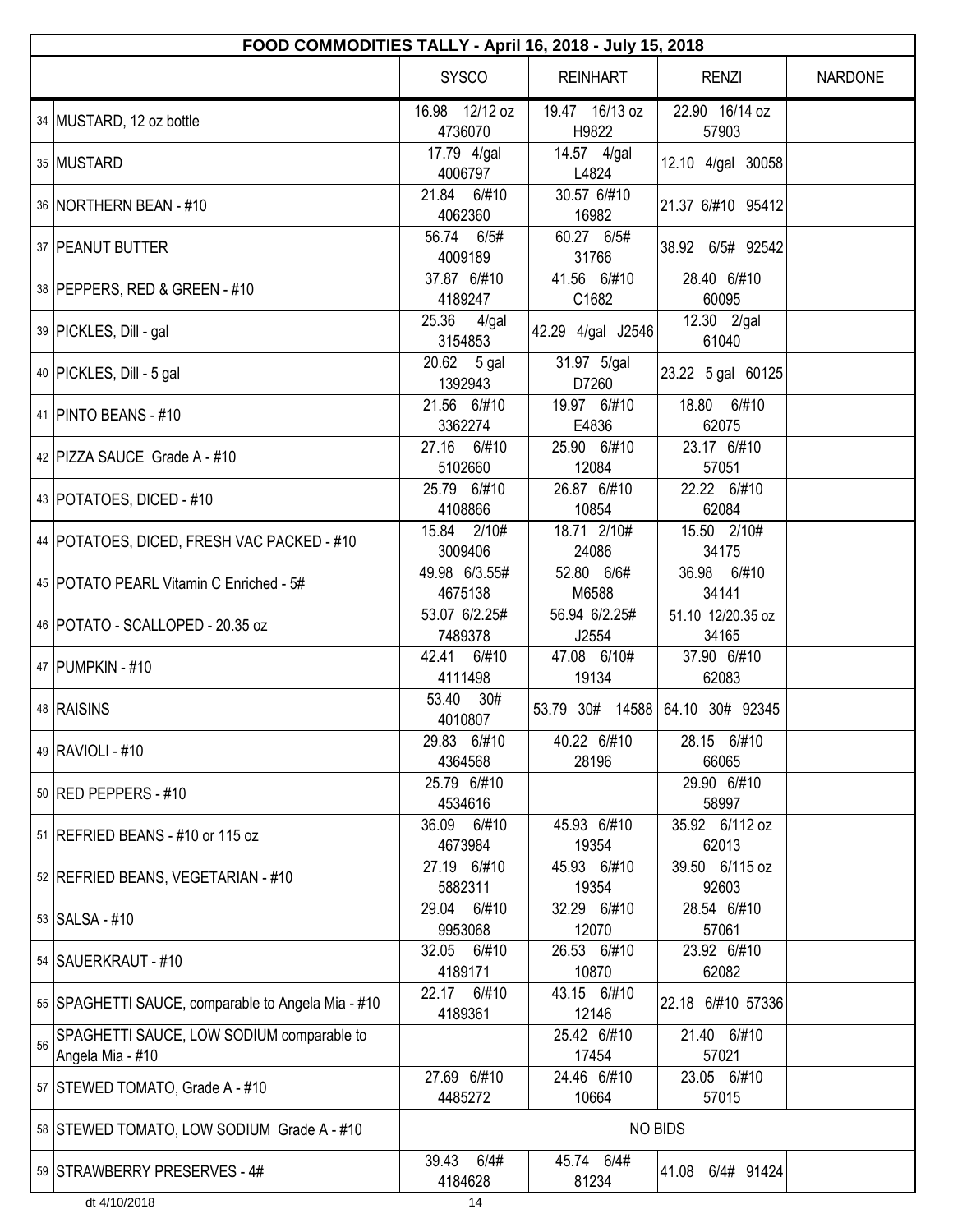|    | FOOD COMMODITIES TALLY - April 16, 2018 - July 15, 2018       |                           |                         |                                 |                |  |  |
|----|---------------------------------------------------------------|---------------------------|-------------------------|---------------------------------|----------------|--|--|
|    |                                                               | <b>SYSCO</b>              | <b>REINHART</b>         | <b>RENZI</b>                    | <b>NARDONE</b> |  |  |
|    | 34 MUSTARD, 12 oz bottle                                      | 16.98 12/12 oz<br>4736070 | 19.47 16/13 oz<br>H9822 | 22.90 16/14 oz<br>57903         |                |  |  |
|    | 35 MUSTARD                                                    | 17.79 4/gal<br>4006797    | 14.57 4/gal<br>L4824    | 12.10 4/gal 30058               |                |  |  |
|    | 36 NORTHERN BEAN - #10                                        | 21.84 6/#10<br>4062360    | 30.57 6/#10<br>16982    | 21.37 6/#10 95412               |                |  |  |
|    | 37   PEANUT BUTTER                                            | 56.74 6/5#<br>4009189     | 60.27 6/5#<br>31766     | 38.92 6/5# 92542                |                |  |  |
|    | 38 PEPPERS, RED & GREEN - #10                                 | 37.87 6/#10<br>4189247    | 41.56 6/#10<br>C1682    | 28.40 6/#10<br>60095            |                |  |  |
|    | 39 PICKLES, Dill - gal                                        | 25.36<br>4/gal<br>3154853 | 42.29 4/gal J2546       | 12.30 2/gal<br>61040            |                |  |  |
|    | 40   PICKLES, Dill - 5 gal                                    | 20.62 5 gal<br>1392943    | 31.97 5/gal<br>D7260    | 23.22 5 gal 60125               |                |  |  |
|    | 41 PINTO BEANS - #10                                          | 21.56 6/#10<br>3362274    | 19.97 6/#10<br>E4836    | 18.80 6/#10<br>62075            |                |  |  |
|    | 42   PIZZA SAUCE Grade A - #10                                | 27.16 6/#10<br>5102660    | 25.90 6/#10<br>12084    | 23.17 6/#10<br>57051            |                |  |  |
|    | 43   POTATOES, DICED - #10                                    | 25.79 6/#10<br>4108866    | 26.87 6/#10<br>10854    | 22.22 6/#10<br>62084            |                |  |  |
|    | 44   POTATOES, DICED, FRESH VAC PACKED - #10                  | 15.84 2/10#<br>3009406    | 18.71 2/10#<br>24086    | 15.50 2/10#<br>34175            |                |  |  |
|    | 45   POTATO PEARL Vitamin C Enriched - 5#                     | 49.98 6/3.55#<br>4675138  | 52.80 6/6#<br>M6588     | 36.98 6/#10<br>34141            |                |  |  |
|    | 46   POTATO - SCALLOPED - 20.35 oz                            | 53.07 6/2.25#<br>7489378  | 56.94 6/2.25#<br>J2554  | 51.10 12/20.35 oz<br>34165      |                |  |  |
|    | 47 PUMPKIN - #10                                              | 42.41 6/#10<br>4111498    | 47.08 6/10#<br>19134    | 37.90 6/#10<br>62083            |                |  |  |
|    | 48 RAISINS                                                    | 53.40 30#<br>4010807      |                         | 53.79 30# 14588 64.10 30# 92345 |                |  |  |
|    | 49 RAVIOLI - #10                                              | 29.83 6/#10<br>4364568    | 40.22 6/#10<br>28196    | 28.15 6/#10<br>66065            |                |  |  |
|    | 50 RED PEPPERS - #10                                          | 25.79 6/#10<br>4534616    |                         | 29.90 6/#10<br>58997            |                |  |  |
|    | 51   REFRIED BEANS - #10 or 115 oz                            | 36.09 6/#10<br>4673984    | 45.93 6/#10<br>19354    | 35.92 6/112 oz<br>62013         |                |  |  |
|    | 52 REFRIED BEANS, VEGETARIAN - #10                            | 27.19 6/#10<br>5882311    | 45.93 6/#10<br>19354    | 39.50 6/115 oz<br>92603         |                |  |  |
|    | 53   SALSA - #10                                              | 29.04<br>6/#10<br>9953068 | 32.29 6/#10<br>12070    | 28.54 6/#10<br>57061            |                |  |  |
|    | 54   SAUERKRAUT - #10                                         | 32.05 6/#10<br>4189171    | 26.53 6/#10<br>10870    | 23.92 6/#10<br>62082            |                |  |  |
|    | 55   SPAGHETTI SAUCE, comparable to Angela Mia - #10          | 22.17 6/#10<br>4189361    | 43.15 6/#10<br>12146    | 22.18 6/#10 57336               |                |  |  |
| 56 | SPAGHETTI SAUCE, LOW SODIUM comparable to<br>Angela Mia - #10 |                           | 25.42 6/#10<br>17454    | 21.40 6/#10<br>57021            |                |  |  |
|    | 57 STEWED TOMATO, Grade A - #10                               | 27.69 6/#10<br>4485272    | 24.46 6/#10<br>10664    | 23.05 6/#10<br>57015            |                |  |  |
|    | 58 STEWED TOMATO, LOW SODIUM Grade A - #10                    |                           |                         | <b>NO BIDS</b>                  |                |  |  |
|    | 59 STRAWBERRY PRESERVES - 4#                                  | 6/4#<br>39.43<br>4184628  | 45.74 6/4#<br>81234     | 6/4# 91424<br>41.08             |                |  |  |
|    | dt 4/10/2018                                                  | 14                        |                         |                                 |                |  |  |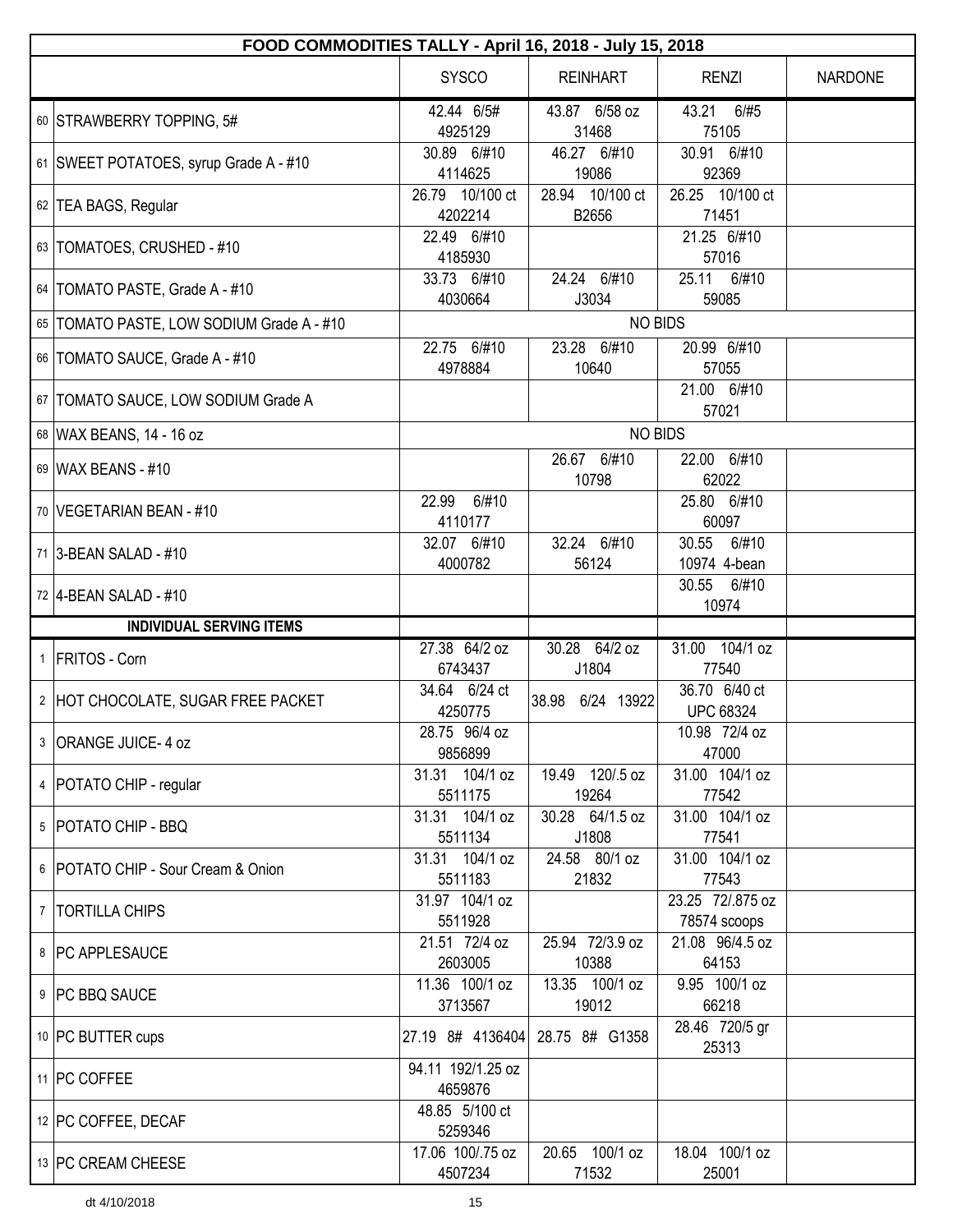| FOOD COMMODITIES TALLY - April 16, 2018 - July 15, 2018 |                              |                          |                                   |                |  |  |
|---------------------------------------------------------|------------------------------|--------------------------|-----------------------------------|----------------|--|--|
|                                                         | <b>SYSCO</b>                 | <b>REINHART</b>          | <b>RENZI</b>                      | <b>NARDONE</b> |  |  |
| 60 STRAWBERRY TOPPING, 5#                               | 42.44 6/5#<br>4925129        | 43.87 6/58 oz<br>31468   | 43.21 6/#5<br>75105               |                |  |  |
| 61 SWEET POTATOES, syrup Grade A - #10                  | 30.89 6/#10<br>4114625       | 46.27 6/#10<br>19086     | 30.91 6/#10<br>92369              |                |  |  |
| 62 TEA BAGS, Regular                                    | 26.79 10/100 ct<br>4202214   | 28.94 10/100 ct<br>B2656 | 26.25 10/100 ct<br>71451          |                |  |  |
| 63   TOMATOES, CRUSHED - #10                            | 22.49 6/#10<br>4185930       |                          | 21.25 6/#10<br>57016              |                |  |  |
| 64   TOMATO PASTE, Grade A - #10                        | 33.73 6/#10<br>4030664       | 24.24 6/#10<br>J3034     | 25.11<br>6/#10<br>59085           |                |  |  |
| 65   TOMATO PASTE, LOW SODIUM Grade A - #10             |                              | <b>NO BIDS</b>           |                                   |                |  |  |
| 66   TOMATO SAUCE, Grade A - #10                        | 22.75 6/#10<br>4978884       | 23.28 6/#10<br>10640     | 20.99 6/#10<br>57055              |                |  |  |
| 67   TOMATO SAUCE, LOW SODIUM Grade A                   |                              |                          | 21.00 6/#10<br>57021              |                |  |  |
| 68 WAX BEANS, 14 - 16 oz                                |                              | <b>NO BIDS</b>           |                                   |                |  |  |
| 69 WAX BEANS - #10                                      |                              | 26.67 6/#10<br>10798     | 22.00 6/#10<br>62022              |                |  |  |
| 70   VEGETARIAN BEAN - #10                              | 6/#10<br>22.99<br>4110177    |                          | 25.80 6/#10<br>60097              |                |  |  |
| 71 3-BEAN SALAD - #10                                   | 32.07 6/#10<br>4000782       | 32.24 6/#10<br>56124     | 30.55<br>6/#10<br>10974 4-bean    |                |  |  |
| 72 4-BEAN SALAD - #10                                   |                              |                          | 30.55 6/#10<br>10974              |                |  |  |
| <b>INDIVIDUAL SERVING ITEMS</b>                         |                              |                          |                                   |                |  |  |
| 1 FRITOS - Corn                                         | 27.38 64/2 oz<br>6743437     | 30.28 64/2 oz<br>J1804   | 31.00 104/1 oz<br>77540           |                |  |  |
| 2 HOT CHOCOLATE, SUGAR FREE PACKET                      | 34.64 6/24 ct<br>4250775     | 38.98 6/24 13922         | 36.70 6/40 ct<br><b>UPC 68324</b> |                |  |  |
| 3   ORANGE JUICE- 4 oz                                  | 28.75 96/4 oz<br>9856899     |                          | 10.98 72/4 oz<br>47000            |                |  |  |
| 4   POTATO CHIP - regular                               | 31.31 104/1 oz<br>5511175    | 19.49 120/.5 oz<br>19264 | 31.00 104/1 oz<br>77542           |                |  |  |
| 5   POTATO CHIP - BBQ                                   | 31.31 104/1 oz<br>5511134    | 30.28 64/1.5 oz<br>J1808 | 31.00 104/1 oz<br>77541           |                |  |  |
| 6 POTATO CHIP - Sour Cream & Onion                      | 31.31 104/1 oz<br>5511183    | 24.58 80/1 oz<br>21832   | 31.00 104/1 oz<br>77543           |                |  |  |
| 7   TORTILLA CHIPS                                      | 31.97 104/1 oz<br>5511928    |                          | 23.25 72/.875 oz<br>78574 scoops  |                |  |  |
| 8   PC APPLESAUCE                                       | 21.51 72/4 oz<br>2603005     | 25.94 72/3.9 oz<br>10388 | 21.08 96/4.5 oz<br>64153          |                |  |  |
| 9   PC BBQ SAUCE                                        | 11.36 100/1 oz<br>3713567    | 13.35 100/1 oz<br>19012  | 9.95 100/1 oz<br>66218            |                |  |  |
| 10 PC BUTTER cups                                       | 27.19 8# 4136404             | 28.75 8# G1358           | 28.46 720/5 gr<br>25313           |                |  |  |
| 11   PC COFFEE                                          | 94.11 192/1.25 oz<br>4659876 |                          |                                   |                |  |  |
| 12 PC COFFEE, DECAF                                     | 48.85 5/100 ct<br>5259346    |                          |                                   |                |  |  |
| 13 PC CREAM CHEESE                                      | 17.06 100/.75 oz<br>4507234  | 20.65 100/1 oz<br>71532  | 18.04 100/1 oz<br>25001           |                |  |  |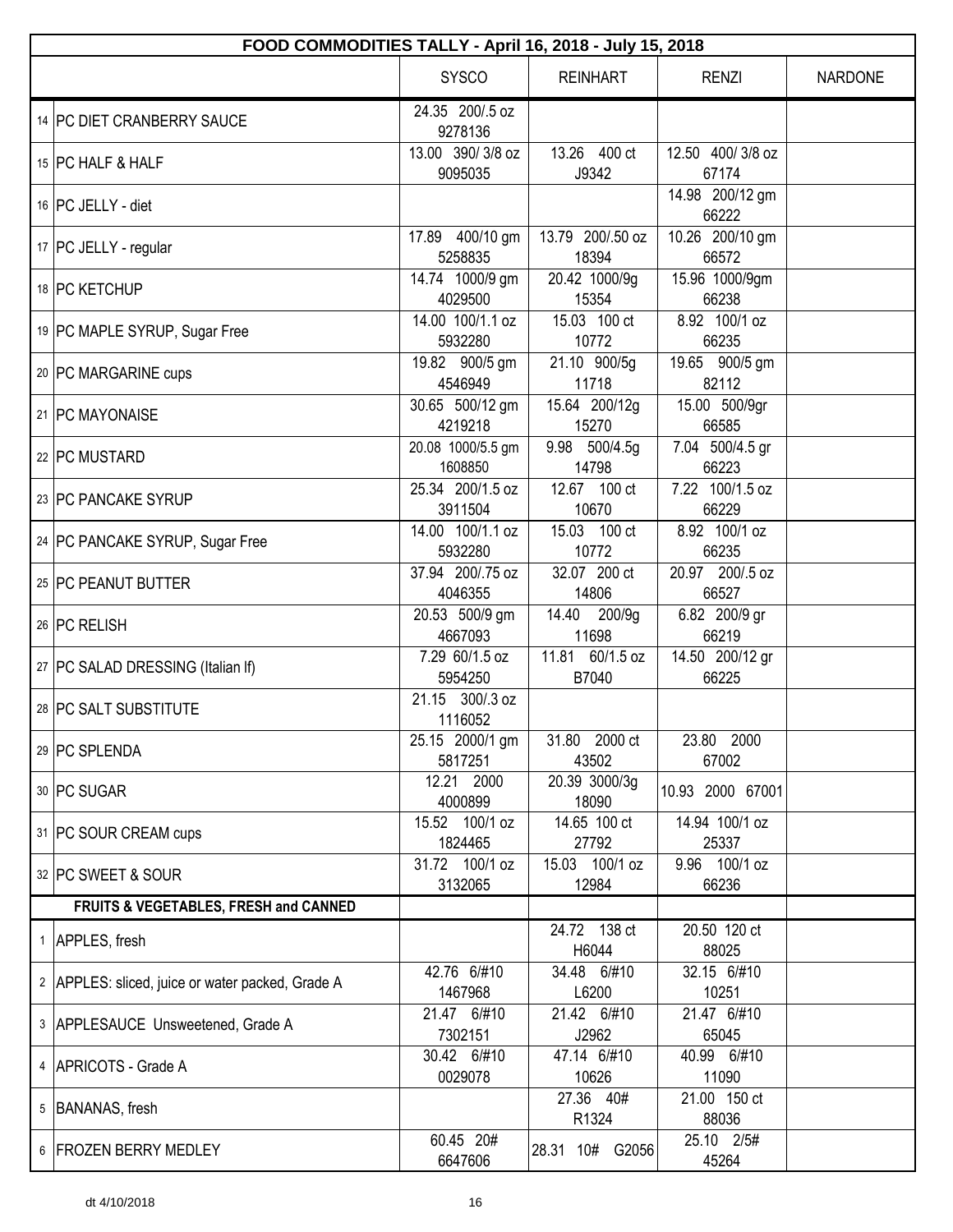| FOOD COMMODITIES TALLY - April 16, 2018 - July 15, 2018 |                              |                           |                            |                |  |  |  |
|---------------------------------------------------------|------------------------------|---------------------------|----------------------------|----------------|--|--|--|
|                                                         | <b>SYSCO</b>                 | <b>REINHART</b>           | <b>RENZI</b>               | <b>NARDONE</b> |  |  |  |
| 14   PC DIET CRANBERRY SAUCE                            | 24.35 200/.5 oz<br>9278136   |                           |                            |                |  |  |  |
| 15 PC HALF & HALF                                       | 13.00 390/3/8 oz<br>9095035  | 13.26 400 ct<br>J9342     | 12.50 400/3/8 oz<br>67174  |                |  |  |  |
| 16 PC JELLY - diet                                      |                              |                           | 14.98 200/12 gm<br>66222   |                |  |  |  |
| 17   PC JELLY - regular                                 | 17.89 400/10 gm<br>5258835   | 13.79 200/.50 oz<br>18394 | 10.26 200/10 gm<br>66572   |                |  |  |  |
| 18 PC KETCHUP                                           | 14.74 1000/9 gm<br>4029500   | 20.42 1000/9g<br>15354    | 15.96 1000/9gm<br>66238    |                |  |  |  |
| 19 PC MAPLE SYRUP, Sugar Free                           | 14.00 100/1.1 oz<br>5932280  | 15.03 100 ct<br>10772     | 8.92 100/1 oz<br>66235     |                |  |  |  |
| 20 PC MARGARINE cups                                    | 19.82 900/5 gm<br>4546949    | 21.10 900/5g<br>11718     | 19.65 900/5 gm<br>82112    |                |  |  |  |
| 21   PC MAYONAISE                                       | 30.65 500/12 gm<br>4219218   | 15.64 200/12g<br>15270    | 15.00 500/9gr<br>66585     |                |  |  |  |
| 22 PC MUSTARD                                           | 20.08 1000/5.5 gm<br>1608850 | 9.98 500/4.5g<br>14798    | $7.04$ 500/4.5 gr<br>66223 |                |  |  |  |
| 23 PC PANCAKE SYRUP                                     | 25.34 200/1.5 oz<br>3911504  | 12.67 100 ct<br>10670     | 7.22 100/1.5 oz<br>66229   |                |  |  |  |
| 24 PC PANCAKE SYRUP, Sugar Free                         | 14.00 100/1.1 oz<br>5932280  | 15.03 100 ct<br>10772     | 8.92 100/1 oz<br>66235     |                |  |  |  |
| 25 PC PEANUT BUTTER                                     | 37.94 200/.75 oz<br>4046355  | 32.07 200 ct<br>14806     | 20.97 200/.5 oz<br>66527   |                |  |  |  |
| 26   PC RELISH                                          | 20.53 500/9 gm<br>4667093    | 14.40 200/9g<br>11698     | 6.82 200/9 gr<br>66219     |                |  |  |  |
| 27   PC SALAD DRESSING (Italian If)                     | 7.29 60/1.5 oz<br>5954250    | 11.81 60/1.5 oz<br>B7040  | 14.50 200/12 gr<br>66225   |                |  |  |  |
| 28   PC SALT SUBSTITUTE                                 | 21.15 300/.3 oz<br>1116052   |                           |                            |                |  |  |  |
| 29 PC SPLENDA                                           | 25.15 2000/1 gm<br>5817251   | 31.80 2000 ct<br>43502    | 23.80 2000<br>67002        |                |  |  |  |
| 30   PC SUGAR                                           | 12.21 2000<br>4000899        | 20.39 3000/3g<br>18090    | 10.93 2000 67001           |                |  |  |  |
| 31   PC SOUR CREAM cups                                 | 15.52 100/1 oz<br>1824465    | 14.65 100 ct<br>27792     | 14.94 100/1 oz<br>25337    |                |  |  |  |
| 32 PC SWEET & SOUR                                      | 31.72 100/1 oz<br>3132065    | 15.03 100/1 oz<br>12984   | 9.96 100/1 oz<br>66236     |                |  |  |  |
| FRUITS & VEGETABLES, FRESH and CANNED                   |                              |                           |                            |                |  |  |  |
| 1 APPLES, fresh                                         |                              | 24.72 138 ct<br>H6044     | 20.50 120 ct<br>88025      |                |  |  |  |
| 2 APPLES: sliced, juice or water packed, Grade A        | 42.76 6/#10<br>1467968       | 34.48 6/#10<br>L6200      | 32.15 6/#10<br>10251       |                |  |  |  |
| 3 APPLESAUCE Unsweetened, Grade A                       | 21.47 6/#10<br>7302151       | 21.42 6/#10<br>J2962      | 21.47 6/#10<br>65045       |                |  |  |  |
| 4   APRICOTS - Grade A                                  | 30.42 6/#10<br>0029078       | 47.14 6/#10<br>10626      | 40.99 6/#10<br>11090       |                |  |  |  |
| 5   BANANAS, fresh                                      |                              | 27.36 40#<br>R1324        | 21.00 150 ct<br>88036      |                |  |  |  |
| 6 FROZEN BERRY MEDLEY                                   | 60.45 20#<br>6647606         | 28.31 10# G2056           | 25.10 2/5#<br>45264        |                |  |  |  |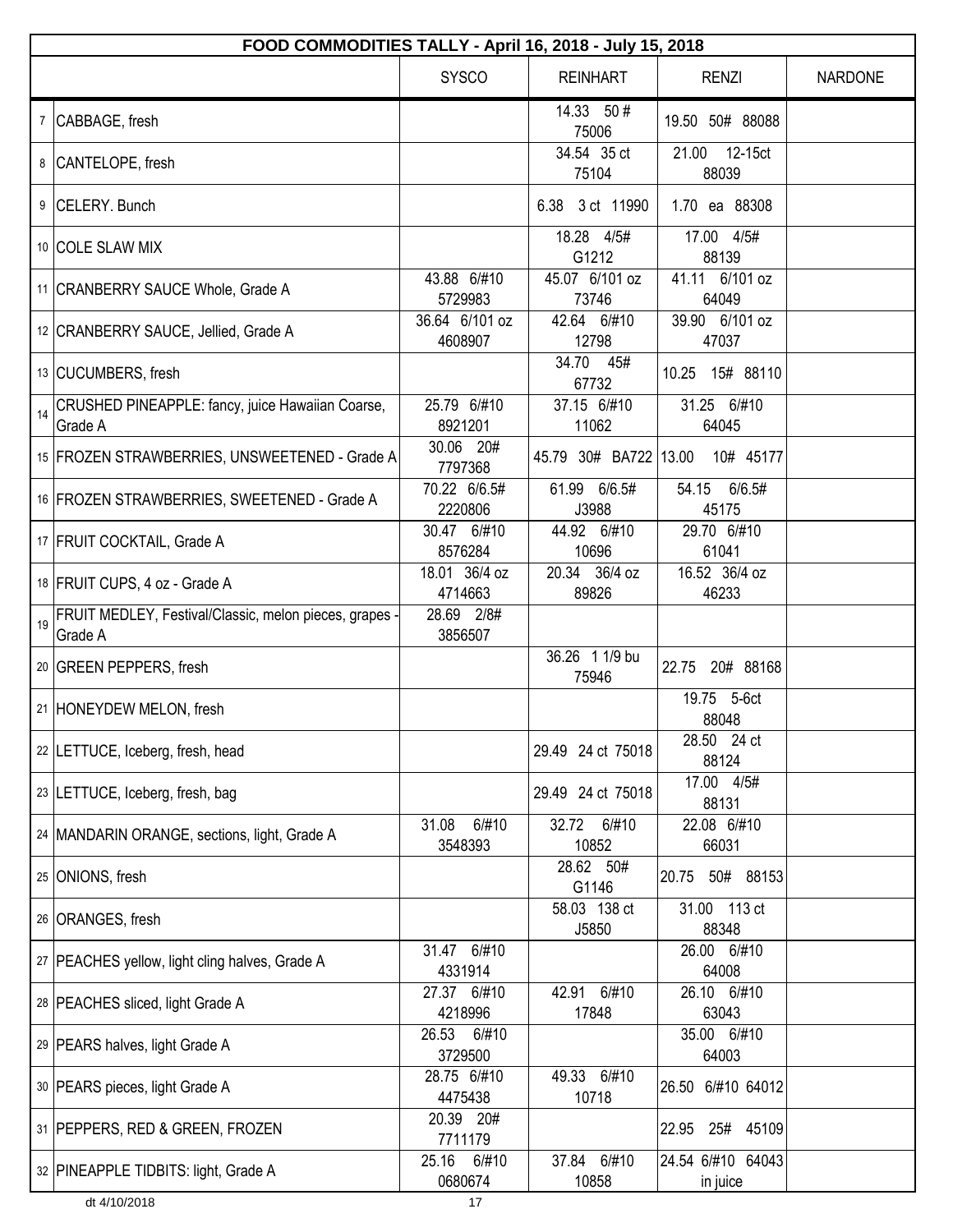|    | FOOD COMMODITIES TALLY - April 16, 2018 - July 15, 2018           |                           |                         |                               |                |  |  |
|----|-------------------------------------------------------------------|---------------------------|-------------------------|-------------------------------|----------------|--|--|
|    |                                                                   | <b>SYSCO</b>              | <b>REINHART</b>         | <b>RENZI</b>                  | <b>NARDONE</b> |  |  |
|    | 7 CABBAGE, fresh                                                  |                           | 14.33 50#<br>75006      | 19.50 50# 88088               |                |  |  |
|    | 8 CANTELOPE, fresh                                                |                           | 34.54 35 ct<br>75104    | 21.00 12-15ct<br>88039        |                |  |  |
|    | 9 CELERY. Bunch                                                   |                           | 6.38 3 ct 11990         | 1.70 ea 88308                 |                |  |  |
|    | 10 COLE SLAW MIX                                                  |                           | 18.28 4/5#<br>G1212     | 17.00 4/5#<br>88139           |                |  |  |
|    | 11   CRANBERRY SAUCE Whole, Grade A                               | 43.88 6/#10<br>5729983    | 45.07 6/101 oz<br>73746 | 41.11 6/101 oz<br>64049       |                |  |  |
|    | 12 CRANBERRY SAUCE, Jellied, Grade A                              | 36.64 6/101 oz<br>4608907 | 42.64 6/#10<br>12798    | 39.90 6/101 oz<br>47037       |                |  |  |
|    | 13 CUCUMBERS, fresh                                               |                           | 34.70 45#<br>67732      | 10.25  15#  88110             |                |  |  |
| 14 | CRUSHED PINEAPPLE: fancy, juice Hawaiian Coarse,<br>Grade A       | 25.79 6/#10<br>8921201    | 37.15 6/#10<br>11062    | 31.25 6/#10<br>64045          |                |  |  |
|    | 15   FROZEN STRAWBERRIES, UNSWEETENED - Grade A                   | 30.06 20#<br>7797368      | 45.79 30# BA722 13.00   | 10# 45177                     |                |  |  |
|    | 16   FROZEN STRAWBERRIES, SWEETENED - Grade A                     | 70.22 6/6.5#<br>2220806   | 61.99 6/6.5#<br>J3988   | 54.15 6/6.5#<br>45175         |                |  |  |
|    | 17 FRUIT COCKTAIL, Grade A                                        | 30.47 6/#10<br>8576284    | 44.92 6/#10<br>10696    | 29.70 6/#10<br>61041          |                |  |  |
|    | 18   FRUIT CUPS, 4 oz - Grade A                                   | 18.01 36/4 oz<br>4714663  | 20.34 36/4 oz<br>89826  | 16.52 36/4 oz<br>46233        |                |  |  |
| 19 | FRUIT MEDLEY, Festival/Classic, melon pieces, grapes -<br>Grade A | 28.69 2/8#<br>3856507     |                         |                               |                |  |  |
|    | 20 GREEN PEPPERS, fresh                                           |                           | 36.26 1 1/9 bu<br>75946 | 22.75 20# 88168               |                |  |  |
|    | 21 HONEYDEW MELON, fresh                                          |                           |                         | 19.75 5-6ct<br>88048          |                |  |  |
|    | 22 LETTUCE, Iceberg, fresh, head                                  |                           | 29.49 24 ct 75018       | 28.50 24 ct<br>88124          |                |  |  |
|    | 23 LETTUCE, Iceberg, fresh, bag                                   |                           | 29.49 24 ct 75018       | 17.00 4/5#<br>88131           |                |  |  |
|    | 24   MANDARIN ORANGE, sections, light, Grade A                    | 31.08<br>6/#10<br>3548393 | 6/#10<br>32.72<br>10852 | 22.08 6/#10<br>66031          |                |  |  |
|    | 25 ONIONS, fresh                                                  |                           | 28.62 50#<br>G1146      | 20.75<br>50# 88153            |                |  |  |
|    | 26 ORANGES, fresh                                                 |                           | 58.03 138 ct<br>J5850   | 31.00 113 ct<br>88348         |                |  |  |
|    | 27   PEACHES yellow, light cling halves, Grade A                  | 31.47 6/#10<br>4331914    |                         | 26.00 6/#10<br>64008          |                |  |  |
|    | 28   PEACHES sliced, light Grade A                                | 27.37 6/#10<br>4218996    | 42.91 6/#10<br>17848    | 26.10 6/#10<br>63043          |                |  |  |
|    | 29   PEARS halves, light Grade A                                  | 26.53 6/#10<br>3729500    |                         | 35.00 6/#10<br>64003          |                |  |  |
|    | 30   PEARS pieces, light Grade A                                  | 28.75 6/#10<br>4475438    | 49.33 6/#10<br>10718    | 26.50 6/#10 64012             |                |  |  |
|    | 31 PEPPERS, RED & GREEN, FROZEN                                   | 20.39 20#<br>7711179      |                         | 22.95<br>25#<br>45109         |                |  |  |
|    | 32 PINEAPPLE TIDBITS: light, Grade A                              | 6/#10<br>25.16<br>0680674 | 37.84 6/#10<br>10858    | 24.54 6/#10 64043<br>in juice |                |  |  |
|    | dt 4/10/2018                                                      | 17                        |                         |                               |                |  |  |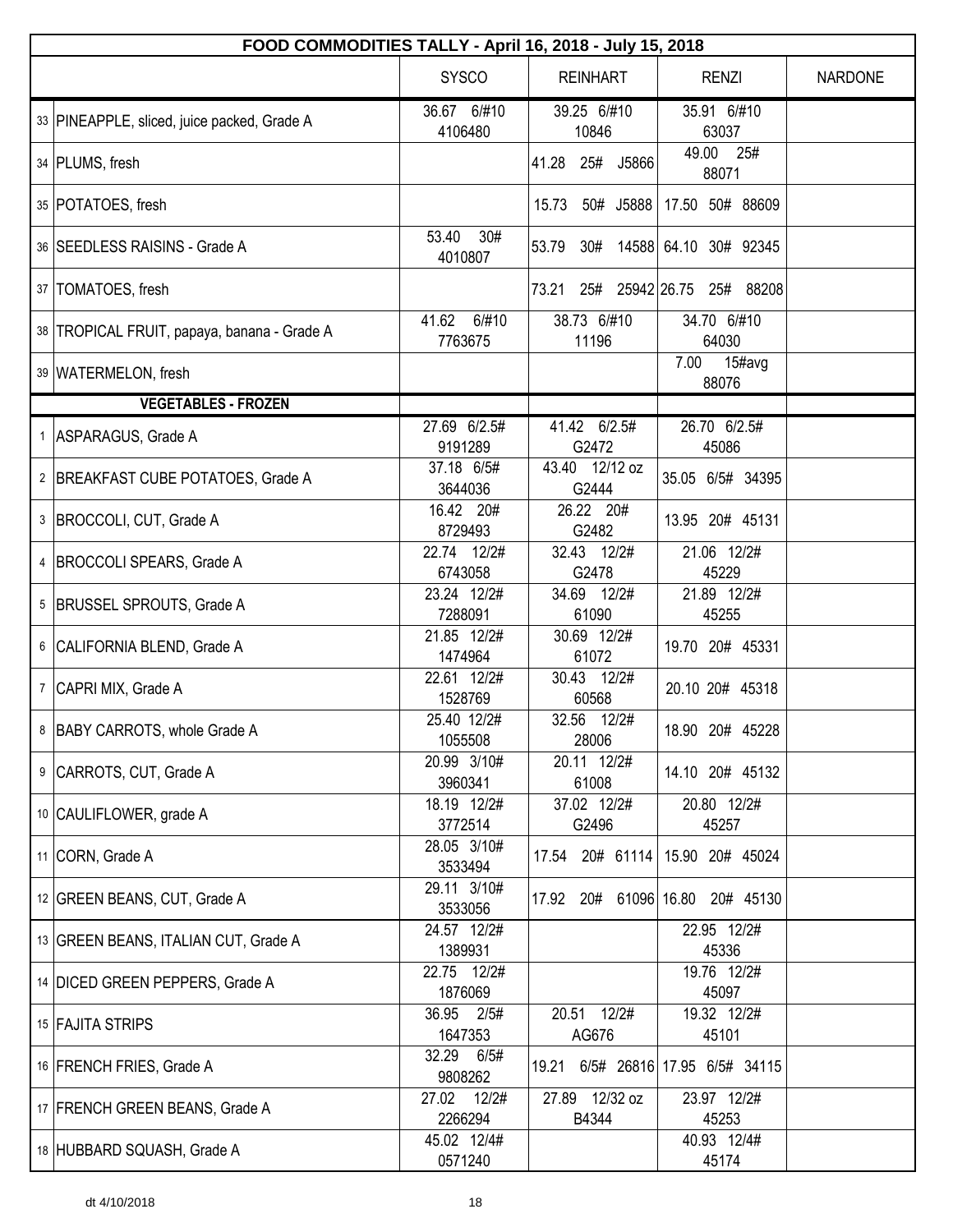| FOOD COMMODITIES TALLY - April 16, 2018 - July 15, 2018 |                           |                         |                                 |         |  |  |  |
|---------------------------------------------------------|---------------------------|-------------------------|---------------------------------|---------|--|--|--|
|                                                         | <b>SYSCO</b>              | <b>REINHART</b>         | <b>RENZI</b>                    | NARDONE |  |  |  |
| 33 PINEAPPLE, sliced, juice packed, Grade A             | 36.67 6/#10<br>4106480    | 39.25 6/#10<br>10846    | 35.91 6/#10<br>63037            |         |  |  |  |
| 34   PLUMS, fresh                                       |                           | 41.28<br>25# J5866      | 49.00 25#<br>88071              |         |  |  |  |
| 35 POTATOES, fresh                                      |                           | 15.73 50# J5888         | 17.50 50# 88609                 |         |  |  |  |
| 36   SEEDLESS RAISINS - Grade A                         | 53.40<br>30#<br>4010807   | 53.79<br>30#            | 14588 64.10 30# 92345           |         |  |  |  |
| 37   TOMATOES, fresh                                    |                           | 73.21<br>25#            | 25942 26.75 25# 88208           |         |  |  |  |
| 38   TROPICAL FRUIT, papaya, banana - Grade A           | 41.62<br>6/#10<br>7763675 | 38.73 6/#10<br>11196    | 34.70 6/#10<br>64030            |         |  |  |  |
| 39   WATERMELON, fresh                                  |                           |                         | 7.00<br>$15\#avg$<br>88076      |         |  |  |  |
| <b>VEGETABLES - FROZEN</b>                              |                           |                         |                                 |         |  |  |  |
| 1 ASPARAGUS, Grade A                                    | 27.69 6/2.5#<br>9191289   | 41.42 6/2.5#<br>G2472   | 26.70 6/2.5#<br>45086           |         |  |  |  |
| 2 BREAKFAST CUBE POTATOES, Grade A                      | 37.18 6/5#<br>3644036     | 43.40 12/12 oz<br>G2444 | 35.05 6/5# 34395                |         |  |  |  |
| 3  BROCCOLI, CUT, Grade A                               | 16.42 20#<br>8729493      | 26.22 20#<br>G2482      | 13.95 20# 45131                 |         |  |  |  |
| 4  BROCCOLI SPEARS, Grade A                             | 22.74 12/2#<br>6743058    | 32.43 12/2#<br>G2478    | 21.06 12/2#<br>45229            |         |  |  |  |
| 5  BRUSSEL SPROUTS, Grade A                             | 23.24 12/2#<br>7288091    | 34.69 12/2#<br>61090    | 21.89 12/2#<br>45255            |         |  |  |  |
| 6 CALIFORNIA BLEND, Grade A                             | 21.85 12/2#<br>1474964    | 30.69 12/2#<br>61072    | 19.70 20# 45331                 |         |  |  |  |
| 7 CAPRI MIX, Grade A                                    | 22.61 12/2#<br>1528769    | 30.43 12/2#<br>60568    | 20.10 20# 45318                 |         |  |  |  |
| 8 BABY CARROTS, whole Grade A                           | 25.40 12/2#<br>1055508    | 32.56 12/2#<br>28006    | 18.90 20# 45228                 |         |  |  |  |
| 9 CARROTS, CUT, Grade A                                 | 20.99 3/10#<br>3960341    | 20.11 12/2#<br>61008    | 14.10 20# 45132                 |         |  |  |  |
| 10 CAULIFLOWER, grade A                                 | 18.19 12/2#<br>3772514    | 37.02 12/2#<br>G2496    | 20.80 12/2#<br>45257            |         |  |  |  |
| 11 CORN, Grade A                                        | 28.05 3/10#<br>3533494    | 20# 61114<br>17.54      | 15.90 20# 45024                 |         |  |  |  |
| 12 GREEN BEANS, CUT, Grade A                            | 29.11 3/10#<br>3533056    |                         | 17.92 20# 61096 16.80 20# 45130 |         |  |  |  |
| 13 GREEN BEANS, ITALIAN CUT, Grade A                    | 24.57 12/2#<br>1389931    |                         | 22.95 12/2#<br>45336            |         |  |  |  |
| 14   DICED GREEN PEPPERS, Grade A                       | 22.75 12/2#<br>1876069    |                         | 19.76 12/2#<br>45097            |         |  |  |  |
| 15 FAJITA STRIPS                                        | 36.95 2/5#<br>1647353     | 20.51 12/2#<br>AG676    | 19.32 12/2#<br>45101            |         |  |  |  |
| 16 FRENCH FRIES, Grade A                                | 32.29 6/5#<br>9808262     | 19.21                   | 6/5# 26816 17.95 6/5# 34115     |         |  |  |  |
| 17 FRENCH GREEN BEANS, Grade A                          | 27.02 12/2#<br>2266294    | 27.89 12/32 oz<br>B4344 | 23.97 12/2#<br>45253            |         |  |  |  |
| 18 HUBBARD SQUASH, Grade A                              | 45.02 12/4#<br>0571240    |                         | 40.93 12/4#<br>45174            |         |  |  |  |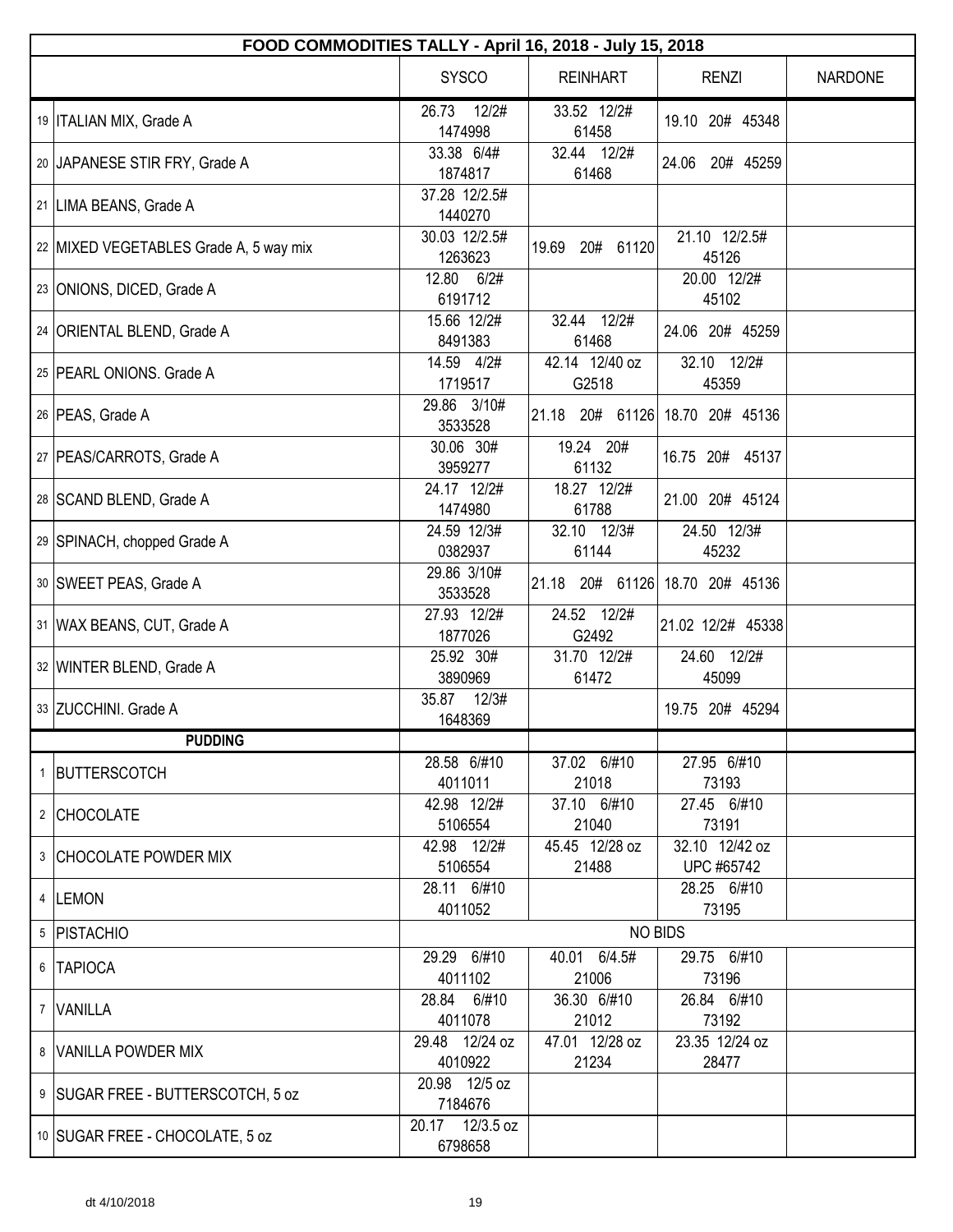| FOOD COMMODITIES TALLY - April 16, 2018 - July 15, 2018 |                            |                                 |                              |                |  |  |
|---------------------------------------------------------|----------------------------|---------------------------------|------------------------------|----------------|--|--|
|                                                         | <b>SYSCO</b>               | <b>REINHART</b>                 | <b>RENZI</b>                 | <b>NARDONE</b> |  |  |
| 19   ITALIAN MIX, Grade A                               | 26.73<br>12/2#<br>1474998  | 33.52 12/2#<br>61458            | 19.10 20# 45348              |                |  |  |
| 20 JAPANESE STIR FRY, Grade A                           | 33.38 6/4#<br>1874817      | 32.44 12/2#<br>61468            | 20# 45259<br>24.06           |                |  |  |
| 21   LIMA BEANS, Grade A                                | 37.28 12/2.5#<br>1440270   |                                 |                              |                |  |  |
| 22 MIXED VEGETABLES Grade A, 5 way mix                  | 30.03 12/2.5#<br>1263623   | 19.69<br>20#<br>61120           | 21.10 12/2.5#<br>45126       |                |  |  |
| 23 ONIONS, DICED, Grade A                               | 12.80 6/2#<br>6191712      |                                 | 20.00 12/2#<br>45102         |                |  |  |
| 24 ORIENTAL BLEND, Grade A                              | 15.66 12/2#<br>8491383     | 32.44 12/2#<br>61468            | 24.06 20# 45259              |                |  |  |
| 25 PEARL ONIONS, Grade A                                | 14.59 4/2#<br>1719517      | 42.14 12/40 oz<br>G2518         | 32.10 12/2#<br>45359         |                |  |  |
| 26   PEAS, Grade A                                      | 29.86 3/10#<br>3533528     | 21.18 20# 61126                 | 18.70 20# 45136              |                |  |  |
| 27   PEAS/CARROTS, Grade A                              | 30.06 30#<br>3959277       | 19.24 20#<br>61132              | 16.75 20# 45137              |                |  |  |
| 28 SCAND BLEND, Grade A                                 | 24.17 12/2#<br>1474980     | 18.27 12/2#<br>61788            | 21.00 20# 45124              |                |  |  |
| 29 SPINACH, chopped Grade A                             | 24.59 12/3#<br>0382937     | 32.10 12/3#<br>61144            | 24.50 12/3#<br>45232         |                |  |  |
| 30 SWEET PEAS, Grade A                                  | 29.86 3/10#<br>3533528     | 21.18 20# 61126 18.70 20# 45136 |                              |                |  |  |
| 31   WAX BEANS, CUT, Grade A                            | 27.93 12/2#<br>1877026     | 24.52 12/2#<br>G2492            | 21.02 12/2# 45338            |                |  |  |
| 32 WINTER BLEND, Grade A                                | 25.92 30#<br>3890969       | 31.70 12/2#<br>61472            | 24.60 12/2#<br>45099         |                |  |  |
| 33 ZUCCHINI. Grade A                                    | 35.87 12/3#<br>1648369     |                                 | 19.75 20# 45294              |                |  |  |
| <b>PUDDING</b>                                          |                            |                                 |                              |                |  |  |
| 1 BUTTERSCOTCH                                          | 28.58 6/#10<br>4011011     | 37.02 6/#10<br>21018            | 27.95 6/#10<br>73193         |                |  |  |
| 2 CHOCOLATE                                             | 42.98 12/2#<br>5106554     | 37.10 6/#10<br>21040            | 27.45 6/#10<br>73191         |                |  |  |
| 3 CHOCOLATE POWDER MIX                                  | 42.98 12/2#<br>5106554     | 45.45 12/28 oz<br>21488         | 32.10 12/42 oz<br>UPC #65742 |                |  |  |
| 4  LEMON                                                | 28.11 6/#10<br>4011052     |                                 | 28.25 6/#10<br>73195         |                |  |  |
| 5   PISTACHIO                                           |                            | <b>NO BIDS</b>                  |                              |                |  |  |
| 6   TAPIOCA                                             | 29.29 6/#10<br>4011102     | 40.01 6/4.5#<br>21006           | 29.75 6/#10<br>73196         |                |  |  |
| 7 VANILLA                                               | 28.84 6/#10<br>4011078     | 36.30 6/#10<br>21012            | 26.84 6/#10<br>73192         |                |  |  |
| 8 VANILLA POWDER MIX                                    | 29.48 12/24 oz<br>4010922  | 47.01 12/28 oz<br>21234         | 23.35 12/24 oz<br>28477      |                |  |  |
| 9   SUGAR FREE - BUTTERSCOTCH, 5 oz                     | 20.98 12/5 oz<br>7184676   |                                 |                              |                |  |  |
| 10 SUGAR FREE - CHOCOLATE, 5 oz                         | 20.17 12/3.5 oz<br>6798658 |                                 |                              |                |  |  |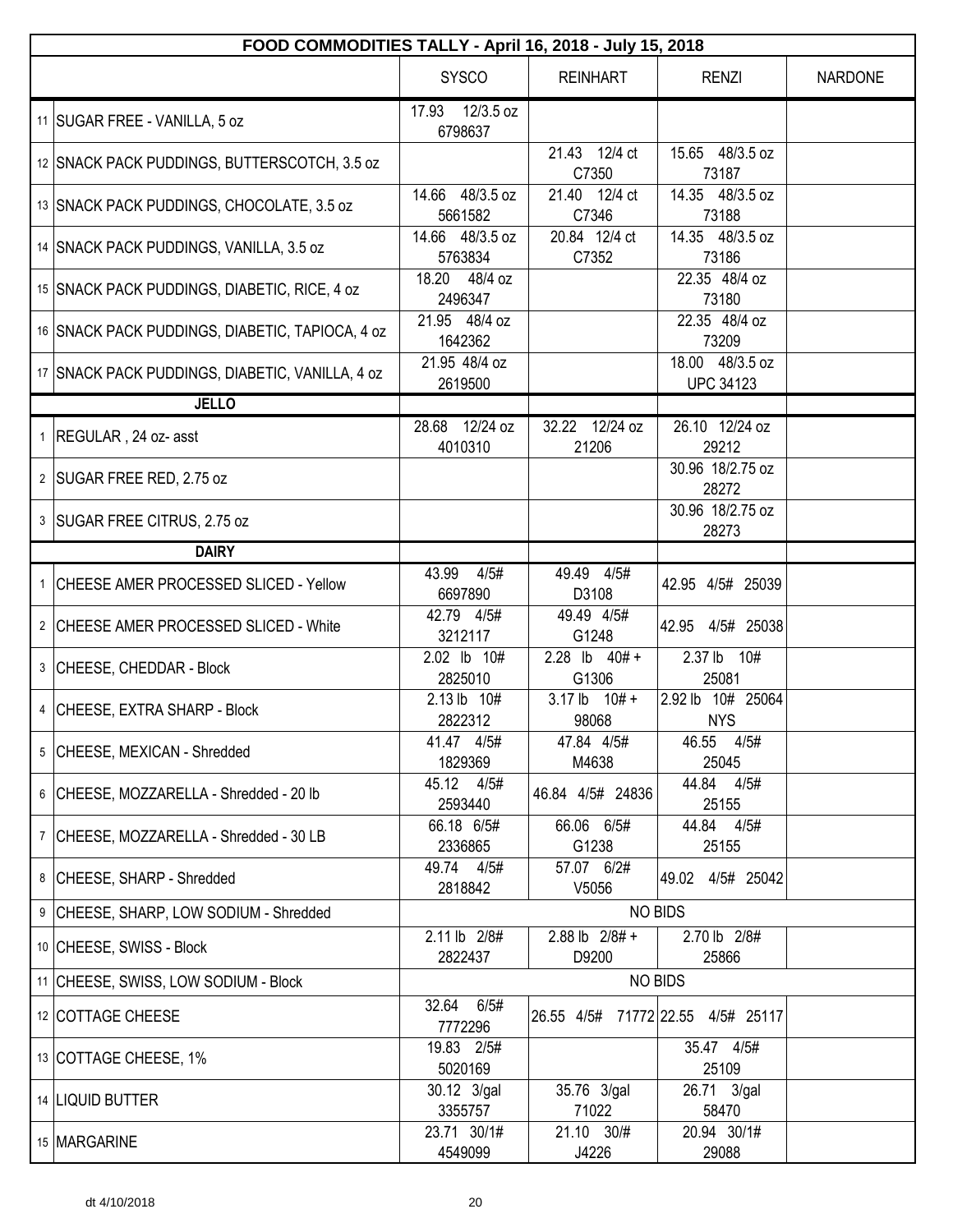| FOOD COMMODITIES TALLY - April 16, 2018 - July 15, 2018 |                                         |                             |                                             |                |  |  |
|---------------------------------------------------------|-----------------------------------------|-----------------------------|---------------------------------------------|----------------|--|--|
|                                                         | <b>SYSCO</b>                            | <b>REINHART</b>             | <b>RENZI</b>                                | <b>NARDONE</b> |  |  |
| 11 SUGAR FREE - VANILLA, 5 oz                           | 12/3.5 oz<br>17.93<br>6798637           |                             |                                             |                |  |  |
| 12 SNACK PACK PUDDINGS, BUTTERSCOTCH, 3.5 oz            |                                         | 21.43 12/4 ct<br>C7350      | 15.65 48/3.5 oz<br>73187                    |                |  |  |
| 13 SNACK PACK PUDDINGS, CHOCOLATE, 3.5 oz               | $\overline{14.66}$ 48/3.5 oz<br>5661582 | 21.40 12/4 ct<br>C7346      | 14.35 48/3.5 oz<br>73188                    |                |  |  |
| 14 SNACK PACK PUDDINGS, VANILLA, 3.5 oz                 | 14.66 48/3.5 oz<br>5763834              | 20.84 12/4 ct<br>C7352      | 14.35 48/3.5 oz<br>73186                    |                |  |  |
| 15 SNACK PACK PUDDINGS, DIABETIC, RICE, 4 oz            | 18.20 48/4 oz<br>2496347                |                             | 22.35 48/4 oz<br>73180                      |                |  |  |
| 16 SNACK PACK PUDDINGS, DIABETIC, TAPIOCA, 4 oz         | 21.95 48/4 oz<br>1642362                |                             | 22.35 48/4 oz<br>73209                      |                |  |  |
| 17 SNACK PACK PUDDINGS, DIABETIC, VANILLA, 4 oz         | 21.95 48/4 oz<br>2619500                |                             | 18.00 48/3.5 oz<br><b>UPC 34123</b>         |                |  |  |
| <b>JELLO</b>                                            |                                         |                             |                                             |                |  |  |
| 1 REGULAR, 24 oz- asst                                  | 28.68 12/24 oz<br>4010310               | 32.22 12/24 oz<br>21206     | 26.10 12/24 oz<br>29212<br>30.96 18/2.75 oz |                |  |  |
| 2 SUGAR FREE RED, 2.75 oz                               |                                         |                             | 28272                                       |                |  |  |
| 3 SUGAR FREE CITRUS, 2.75 oz                            |                                         |                             | 30.96 18/2.75 oz<br>28273                   |                |  |  |
| <b>DAIRY</b>                                            |                                         |                             |                                             |                |  |  |
| 1 CHEESE AMER PROCESSED SLICED - Yellow                 | 43.99<br>4/5#<br>6697890                | 49.49 4/5#<br>D3108         | 42.95 4/5# 25039                            |                |  |  |
| 2 CHEESE AMER PROCESSED SLICED - White                  | 42.79 4/5#<br>3212117                   | 49.49 4/5#<br>G1248         | 42.95<br>4/5# 25038                         |                |  |  |
| 3 CHEESE, CHEDDAR - Block                               | 2.02 lb 10#<br>2825010                  | 2.28 lb $40# +$<br>G1306    | 2.37 <sub>lb</sub><br>10#<br>25081          |                |  |  |
| 4 CHEESE, EXTRA SHARP - Block                           | 2.13 lb 10#<br>2822312                  | $3.17$ lb $10# +$<br>98068  | 2.92 lb 10# 25064<br><b>NYS</b>             |                |  |  |
| 5 CHEESE, MEXICAN - Shredded                            | 41.47 4/5#<br>1829369                   | 47.84 4/5#<br>M4638         | 46.55 4/5#<br>25045                         |                |  |  |
| 6 CHEESE, MOZZARELLA - Shredded - 20 lb                 | 45.12 4/5#<br>2593440                   | 46.84 4/5# 24836            | 44.84 4/5#<br>25155                         |                |  |  |
| 7 CHEESE, MOZZARELLA - Shredded - 30 LB                 | 66.18 6/5#<br>2336865                   | 66.06 6/5#<br>G1238         | 44.84 4/5#<br>25155                         |                |  |  |
| 8 CHEESE, SHARP - Shredded                              | 49.74 4/5#<br>2818842                   | 57.07 6/2#<br>V5056         | 49.02 4/5# 25042                            |                |  |  |
| 9 CHEESE, SHARP, LOW SODIUM - Shredded                  |                                         |                             | <b>NO BIDS</b>                              |                |  |  |
| 10 CHEESE, SWISS - Block                                | 2.11 lb 2/8#<br>2822437                 | $2.88$ lb $2/8#$ +<br>D9200 | 2.70 lb 2/8#<br>25866                       |                |  |  |
| 11 CHEESE, SWISS, LOW SODIUM - Block                    |                                         |                             | <b>NO BIDS</b>                              |                |  |  |
| 12 COTTAGE CHEESE                                       | 32.64 6/5#<br>7772296                   |                             | 26.55 4/5# 71772 22.55 4/5# 25117           |                |  |  |
| 13 COTTAGE CHEESE, 1%                                   | 19.83 2/5#<br>5020169                   |                             | 35.47 4/5#<br>25109                         |                |  |  |
| 14   LIQUID BUTTER                                      | 30.12 3/gal<br>3355757                  | 35.76 3/gal<br>71022        | 26.71 3/gal<br>58470                        |                |  |  |
| 15 MARGARINE                                            | 23.71 30/1#<br>4549099                  | 21.10 30/#<br>J4226         | 20.94 30/1#<br>29088                        |                |  |  |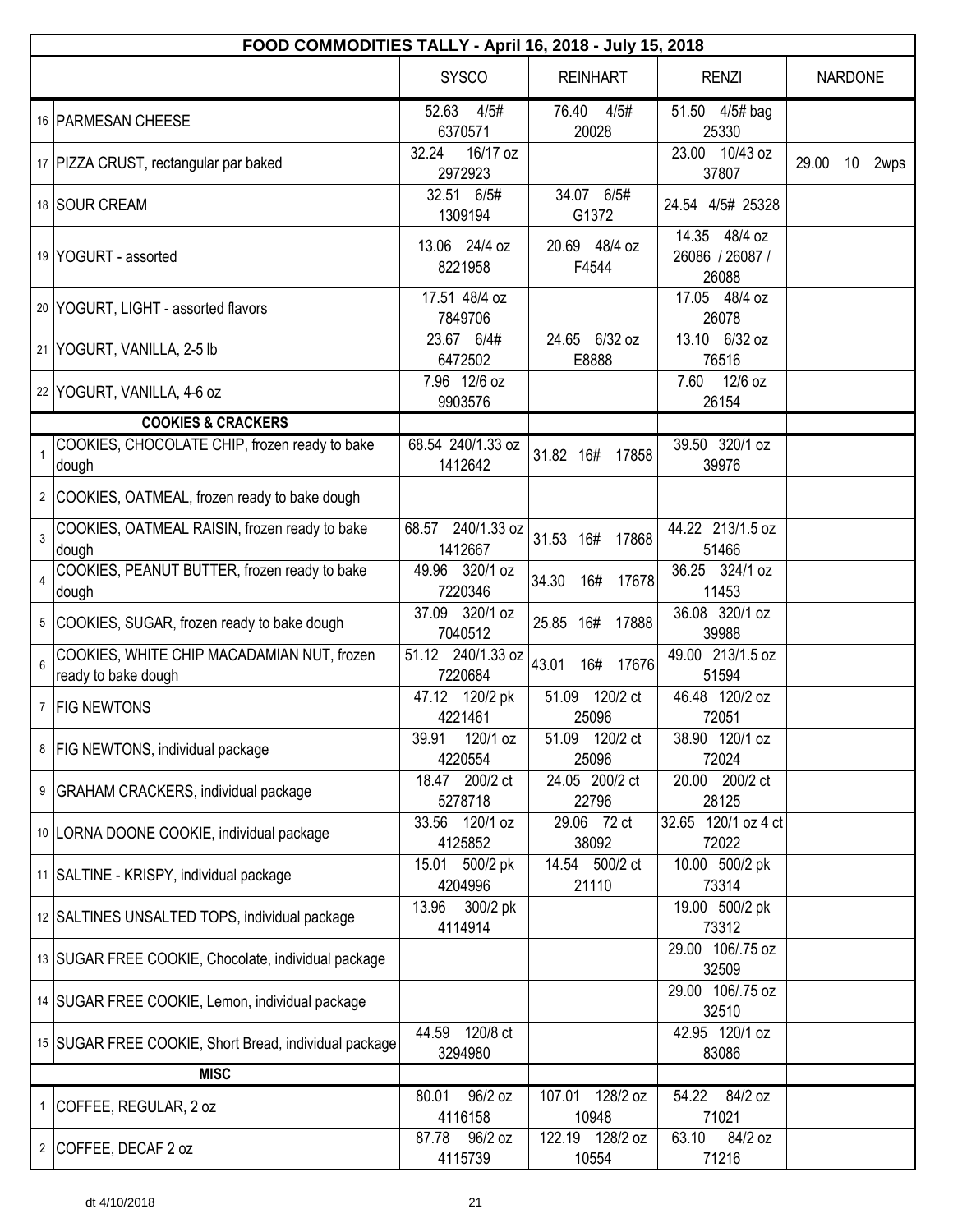|                         | FOOD COMMODITIES TALLY - April 16, 2018 - July 15, 2018           |                                 |                             |                                           |       |                 |      |  |
|-------------------------|-------------------------------------------------------------------|---------------------------------|-----------------------------|-------------------------------------------|-------|-----------------|------|--|
|                         |                                                                   | <b>SYSCO</b>                    | <b>REINHART</b>             | <b>RENZI</b>                              |       | <b>NARDONE</b>  |      |  |
|                         | 16 PARMESAN CHEESE                                                | 52.63<br>4/5#<br>6370571        | 76.40<br>4/5#<br>20028      | 51.50 4/5# bag<br>25330                   |       |                 |      |  |
|                         | 17   PIZZA CRUST, rectangular par baked                           | 32.24<br>16/17 oz<br>2972923    |                             | 23.00 10/43 oz<br>37807                   | 29.00 | 10 <sup>°</sup> | 2wps |  |
|                         | 18 SOUR CREAM                                                     | 32.51 6/5#<br>1309194           | 34.07 6/5#<br>G1372         | 24.54 4/5# 25328                          |       |                 |      |  |
|                         | 19 YOGURT - assorted                                              | 13.06 24/4 oz<br>8221958        | 20.69 48/4 oz<br>F4544      | 14.35 48/4 oz<br>26086 / 26087 /<br>26088 |       |                 |      |  |
|                         | 20 YOGURT, LIGHT - assorted flavors                               | 17.51 48/4 oz<br>7849706        |                             | 17.05 48/4 oz<br>26078                    |       |                 |      |  |
|                         | 21 YOGURT, VANILLA, 2-5 lb                                        | 23.67 6/4#<br>6472502           | 24.65 6/32 oz<br>E8888      | 13.10 6/32 oz<br>76516                    |       |                 |      |  |
|                         | 22 YOGURT, VANILLA, 4-6 oz                                        | 7.96 12/6 oz<br>9903576         |                             | 7.60 12/6 oz<br>26154                     |       |                 |      |  |
|                         | <b>COOKIES &amp; CRACKERS</b>                                     |                                 |                             |                                           |       |                 |      |  |
|                         | COOKIES, CHOCOLATE CHIP, frozen ready to bake<br>dough            | 68.54 240/1.33 oz<br>1412642    | 31.82 16#<br>17858          | 39.50 320/1 oz<br>39976                   |       |                 |      |  |
|                         | 2 COOKIES, OATMEAL, frozen ready to bake dough                    |                                 |                             |                                           |       |                 |      |  |
| 3                       | COOKIES, OATMEAL RAISIN, frozen ready to bake<br>dough            | 240/1.33 oz<br>68.57<br>1412667 | 31.53 16#<br>17868          | 44.22 213/1.5 oz<br>51466                 |       |                 |      |  |
| $\overline{\mathbf{4}}$ | COOKIES, PEANUT BUTTER, frozen ready to bake<br>dough             | 49.96 320/1 oz<br>7220346       | 34.30<br>16#<br>17678       | 36.25 324/1 oz<br>11453                   |       |                 |      |  |
|                         | 5 COOKIES, SUGAR, frozen ready to bake dough                      | 37.09 320/1 oz<br>7040512       | 25.85 16# 17888             | 36.08 320/1 oz<br>39988                   |       |                 |      |  |
| 6                       | COOKIES, WHITE CHIP MACADAMIAN NUT, frozen<br>ready to bake dough | 51.12 240/1.33 oz<br>7220684    | 43.01<br>16#<br>17676       | 49.00 213/1.5 oz<br>51594                 |       |                 |      |  |
| $\overline{7}$          | <b>FIG NEWTONS</b>                                                | 47.12 120/2 pk<br>4221461       | 51.09 120/2 ct<br>25096     | 46.48 120/2 oz<br>72051                   |       |                 |      |  |
|                         | 8   FIG NEWTONS, individual package                               | 120/1 oz<br>39.91<br>4220554    | 51.09 120/2 ct<br>25096     | 38.90 120/1 oz<br>72024                   |       |                 |      |  |
|                         | 9   GRAHAM CRACKERS, individual package                           | 18.47 200/2 ct<br>5278718       | 24.05 200/2 ct<br>22796     | 20.00 200/2 ct<br>28125                   |       |                 |      |  |
|                         | 10  LORNA DOONE COOKIE, individual package                        | 33.56 120/1 oz<br>4125852       | 29.06 72 ct<br>38092        | 32.65 120/1 oz 4 ct<br>72022              |       |                 |      |  |
|                         | 11   SALTINE - KRISPY, individual package                         | 500/2 pk<br>15.01<br>4204996    | 14.54 500/2 ct<br>21110     | 10.00 500/2 pk<br>73314                   |       |                 |      |  |
|                         | 12 SALTINES UNSALTED TOPS, individual package                     | 13.96<br>300/2 pk<br>4114914    |                             | 19.00 500/2 pk<br>73312                   |       |                 |      |  |
|                         | 13 SUGAR FREE COOKIE, Chocolate, individual package               |                                 |                             | 29.00 106/.75 oz<br>32509                 |       |                 |      |  |
|                         | 14 SUGAR FREE COOKIE, Lemon, individual package                   |                                 |                             | 29.00 106/.75 oz<br>32510                 |       |                 |      |  |
|                         | 15 SUGAR FREE COOKIE, Short Bread, individual package             | 120/8 ct<br>44.59<br>3294980    |                             | 42.95 120/1 oz<br>83086                   |       |                 |      |  |
|                         | <b>MISC</b>                                                       |                                 |                             |                                           |       |                 |      |  |
|                         | 1 COFFEE, REGULAR, 2 oz                                           | 96/2 oz<br>80.01<br>4116158     | 128/2 oz<br>107.01<br>10948 | 84/2 oz<br>54.22<br>71021                 |       |                 |      |  |
|                         | 2 COFFEE, DECAF 2 oz                                              | 96/2 oz<br>87.78<br>4115739     | 122.19 128/2 oz<br>10554    | 63.10<br>84/2 oz<br>71216                 |       |                 |      |  |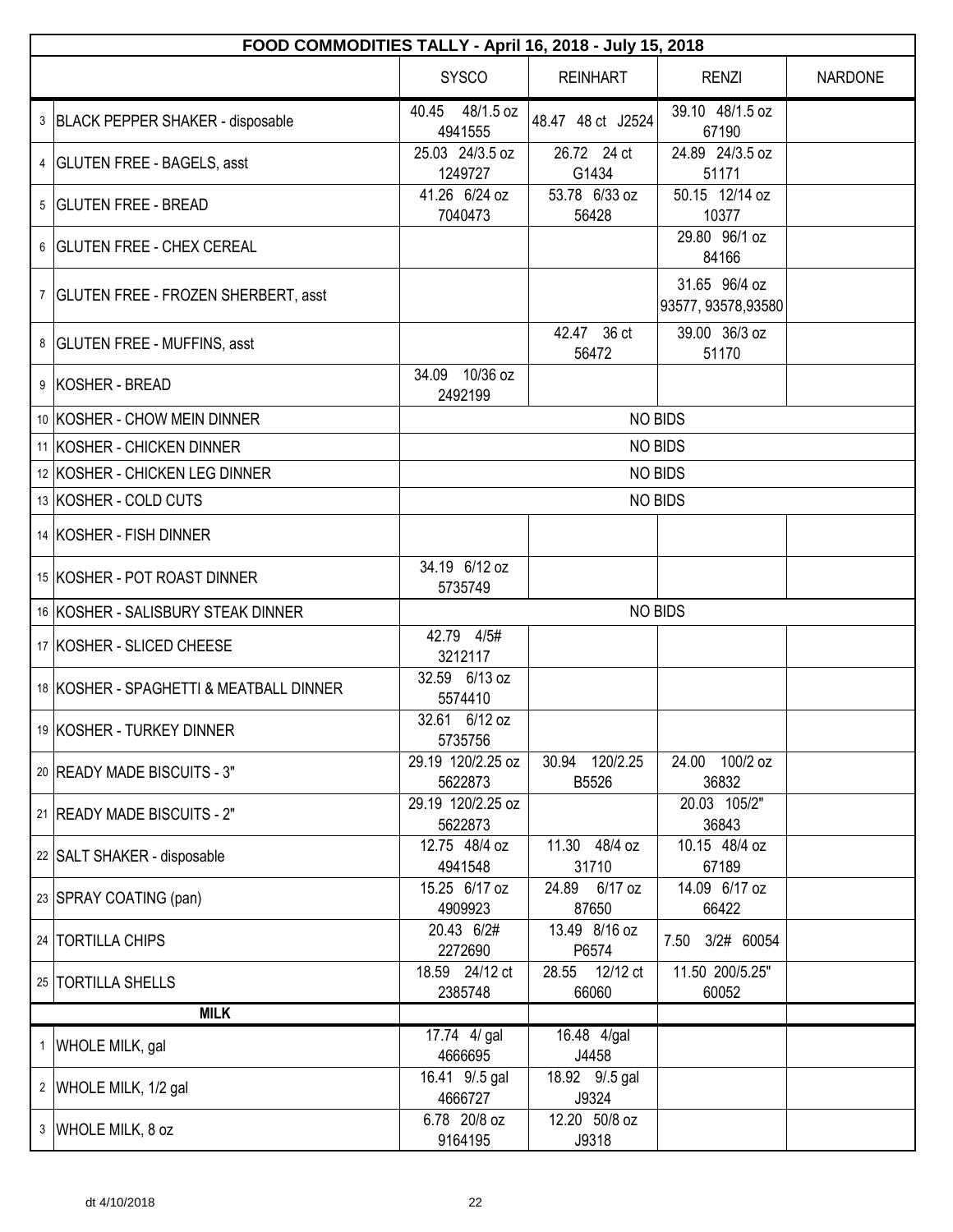| FOOD COMMODITIES TALLY - April 16, 2018 - July 15, 2018 |                              |                         |                                     |                |  |  |
|---------------------------------------------------------|------------------------------|-------------------------|-------------------------------------|----------------|--|--|
|                                                         | <b>SYSCO</b>                 | <b>REINHART</b>         | <b>RENZI</b>                        | <b>NARDONE</b> |  |  |
| 3 BLACK PEPPER SHAKER - disposable                      | 40.45 48/1.5 oz<br>4941555   | 48.47 48 ct J2524       | 39.10 48/1.5 oz<br>67190            |                |  |  |
| 4   GLUTEN FREE - BAGELS, asst                          | 25.03 24/3.5 oz<br>1249727   | 26.72 24 ct<br>G1434    | 24.89 24/3.5 oz<br>51171            |                |  |  |
| 5 GLUTEN FREE - BREAD                                   | 41.26 6/24 oz<br>7040473     | 53.78 6/33 oz<br>56428  | 50.15 12/14 oz<br>10377             |                |  |  |
| 6   GLUTEN FREE - CHEX CEREAL                           |                              |                         | 29.80 96/1 oz<br>84166              |                |  |  |
| 7 GLUTEN FREE - FROZEN SHERBERT, asst                   |                              |                         | 31.65 96/4 oz<br>93577, 93578,93580 |                |  |  |
| 8   GLUTEN FREE - MUFFINS, asst                         |                              | 42.47 36 ct<br>56472    | 39.00 36/3 oz<br>51170              |                |  |  |
| 9 KOSHER - BREAD                                        | 34.09 10/36 oz<br>2492199    |                         |                                     |                |  |  |
| 10 KOSHER - CHOW MEIN DINNER                            |                              |                         | <b>NO BIDS</b>                      |                |  |  |
| 11 KOSHER - CHICKEN DINNER                              |                              |                         | <b>NO BIDS</b>                      |                |  |  |
| 12 KOSHER - CHICKEN LEG DINNER                          |                              |                         | <b>NO BIDS</b>                      |                |  |  |
| 13 KOSHER - COLD CUTS                                   | <b>NO BIDS</b>               |                         |                                     |                |  |  |
| 14 KOSHER - FISH DINNER                                 |                              |                         |                                     |                |  |  |
| 15 KOSHER - POT ROAST DINNER                            | 34.19 6/12 oz<br>5735749     |                         |                                     |                |  |  |
| 16 KOSHER - SALISBURY STEAK DINNER                      |                              |                         | <b>NO BIDS</b>                      |                |  |  |
| 17 KOSHER - SLICED CHEESE                               | 42.79 4/5#<br>3212117        |                         |                                     |                |  |  |
| 18 KOSHER - SPAGHETTI & MEATBALL DINNER                 | 32.59 6/13 oz<br>5574410     |                         |                                     |                |  |  |
| 19 KOSHER - TURKEY DINNER                               | 32.61 6/12 oz<br>5735756     |                         |                                     |                |  |  |
| 20   READY MADE BISCUITS - 3"                           | 29.19 120/2.25 oz<br>5622873 | 30.94 120/2.25<br>B5526 | 24.00 100/2 oz<br>36832             |                |  |  |
| 21   READY MADE BISCUITS - 2"                           | 29.19 120/2.25 oz<br>5622873 |                         | 20.03 105/2"<br>36843               |                |  |  |
| 22 SALT SHAKER - disposable                             | 12.75 48/4 oz<br>4941548     | 11.30 48/4 oz<br>31710  | 10.15 48/4 oz<br>67189              |                |  |  |
| 23 SPRAY COATING (pan)                                  | 15.25 6/17 oz<br>4909923     | 24.89 6/17 oz<br>87650  | 14.09 6/17 oz<br>66422              |                |  |  |
| 24   TORTILLA CHIPS                                     | 20.43 6/2#<br>2272690        | 13.49 8/16 oz<br>P6574  | 7.50 3/2# 60054                     |                |  |  |
| 25   TORTILLA SHELLS                                    | 18.59 24/12 ct<br>2385748    | 28.55 12/12 ct<br>66060 | 11.50 200/5.25"<br>60052            |                |  |  |
| <b>MILK</b>                                             |                              |                         |                                     |                |  |  |
| 1 WHOLE MILK, gal                                       | 17.74 4/ gal<br>4666695      | 16.48 4/gal<br>J4458    |                                     |                |  |  |
| 2 WHOLE MILK, 1/2 gal                                   | 16.41 9/.5 gal<br>4666727    | 18.92 9/.5 gal<br>J9324 |                                     |                |  |  |
| 3 WHOLE MILK, 8 oz                                      | 6.78 20/8 oz<br>9164195      | 12.20 50/8 oz<br>J9318  |                                     |                |  |  |